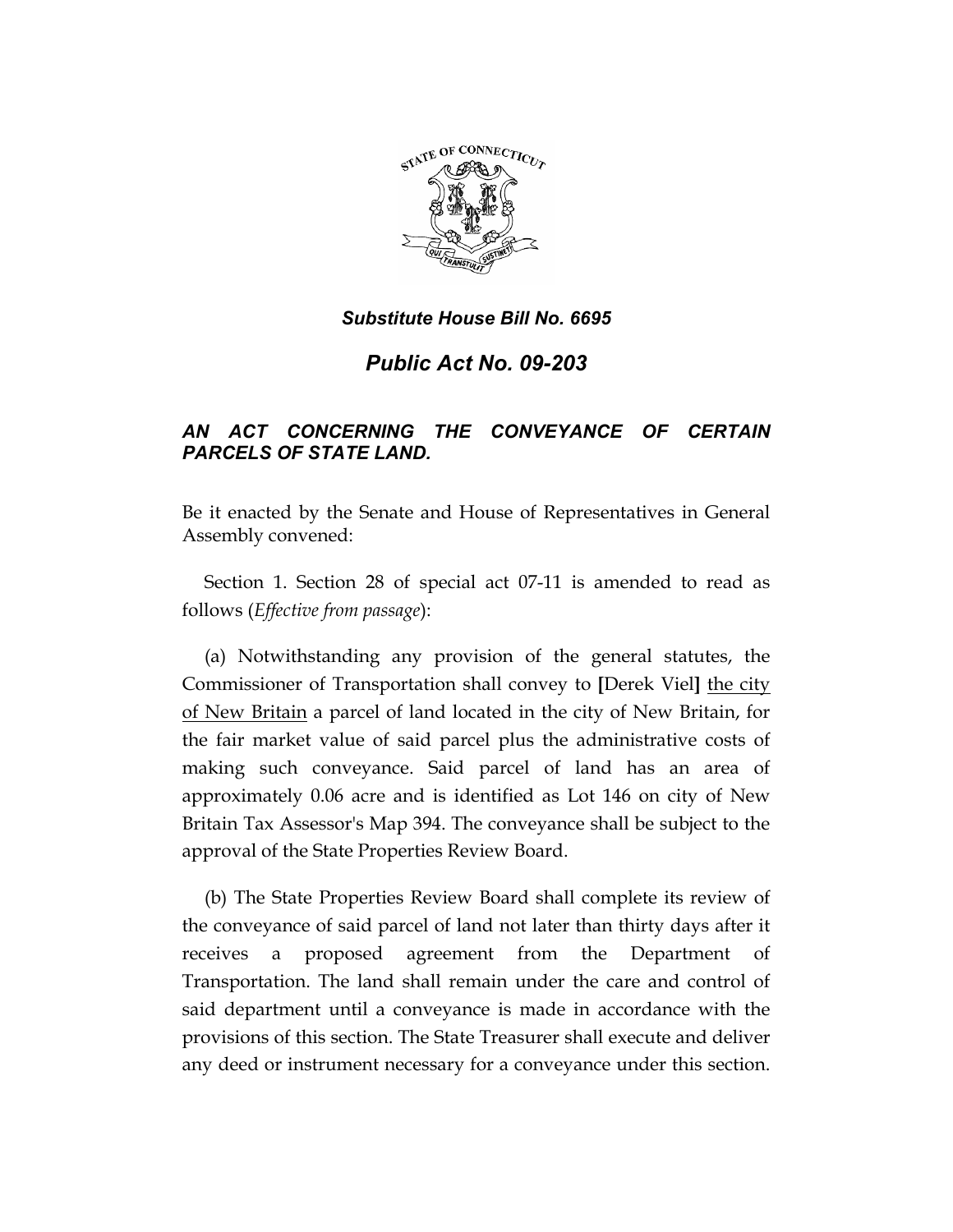

*Public Act No. 09-203* 

# *AN ACT CONCERNING THE CONVEYANCE OF CERTAIN PARCELS OF STATE LAND.*

Be it enacted by the Senate and House of Representatives in General Assembly convened:

Section 1. Section 28 of special act 07-11 is amended to read as follows (*Effective from passage*):

(a) Notwithstanding any provision of the general statutes, the Commissioner of Transportation shall convey to **[**Derek Viel**]** the city of New Britain a parcel of land located in the city of New Britain, for the fair market value of said parcel plus the administrative costs of making such conveyance. Said parcel of land has an area of approximately 0.06 acre and is identified as Lot 146 on city of New Britain Tax Assessor's Map 394. The conveyance shall be subject to the approval of the State Properties Review Board.

(b) The State Properties Review Board shall complete its review of the conveyance of said parcel of land not later than thirty days after it receives a proposed agreement from the Department of Transportation. The land shall remain under the care and control of said department until a conveyance is made in accordance with the provisions of this section. The State Treasurer shall execute and deliver any deed or instrument necessary for a conveyance under this section.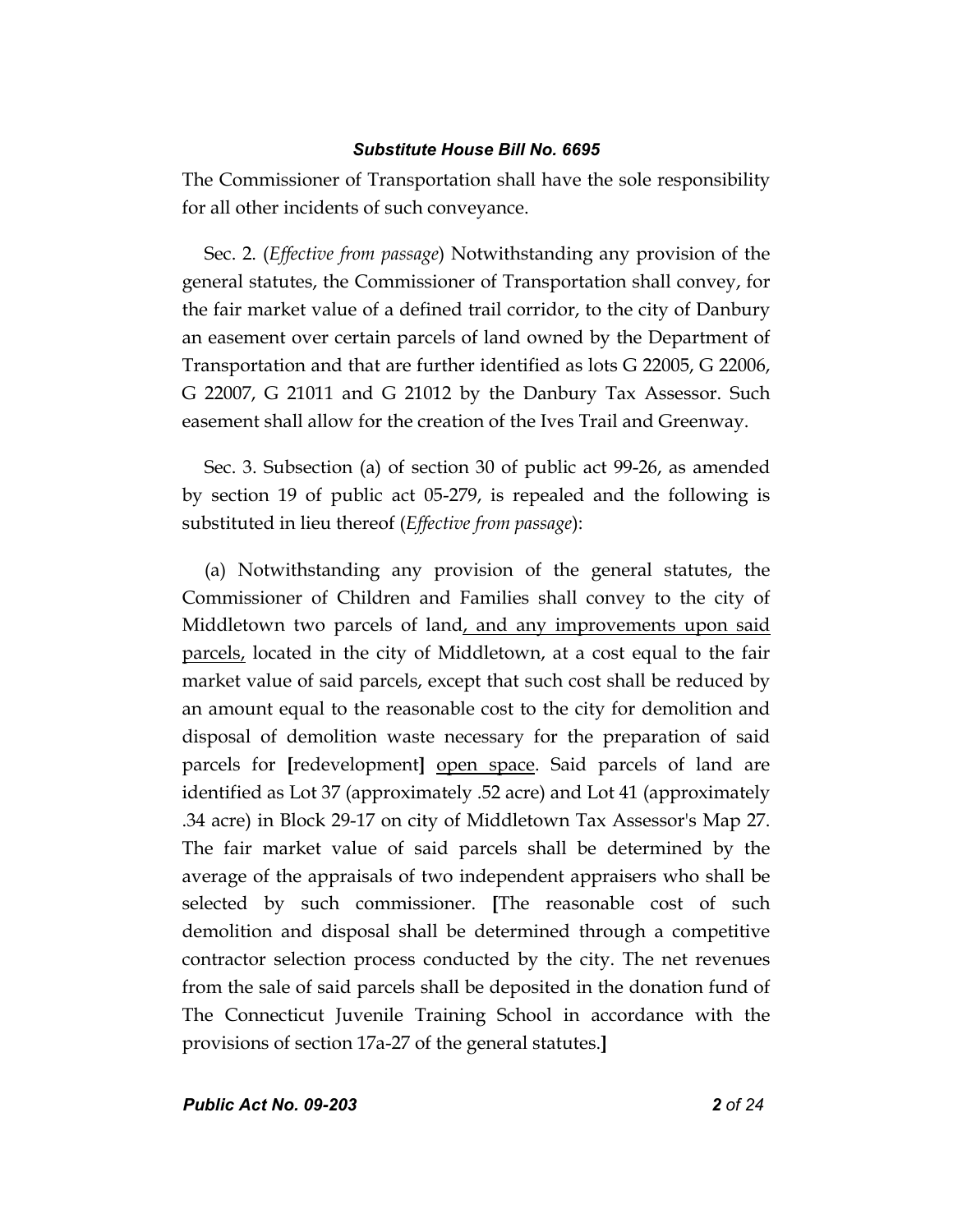The Commissioner of Transportation shall have the sole responsibility for all other incidents of such conveyance.

Sec. 2. (*Effective from passage*) Notwithstanding any provision of the general statutes, the Commissioner of Transportation shall convey, for the fair market value of a defined trail corridor, to the city of Danbury an easement over certain parcels of land owned by the Department of Transportation and that are further identified as lots G 22005, G 22006, G 22007, G 21011 and G 21012 by the Danbury Tax Assessor. Such easement shall allow for the creation of the Ives Trail and Greenway.

Sec. 3. Subsection (a) of section 30 of public act 99-26, as amended by section 19 of public act 05-279, is repealed and the following is substituted in lieu thereof (*Effective from passage*):

(a) Notwithstanding any provision of the general statutes, the Commissioner of Children and Families shall convey to the city of Middletown two parcels of land, and any improvements upon said parcels, located in the city of Middletown, at a cost equal to the fair market value of said parcels, except that such cost shall be reduced by an amount equal to the reasonable cost to the city for demolition and disposal of demolition waste necessary for the preparation of said parcels for **[**redevelopment**]** open space. Said parcels of land are identified as Lot 37 (approximately .52 acre) and Lot 41 (approximately .34 acre) in Block 29-17 on city of Middletown Tax Assessor's Map 27. The fair market value of said parcels shall be determined by the average of the appraisals of two independent appraisers who shall be selected by such commissioner. **[**The reasonable cost of such demolition and disposal shall be determined through a competitive contractor selection process conducted by the city. The net revenues from the sale of said parcels shall be deposited in the donation fund of The Connecticut Juvenile Training School in accordance with the provisions of section 17a-27 of the general statutes.**]**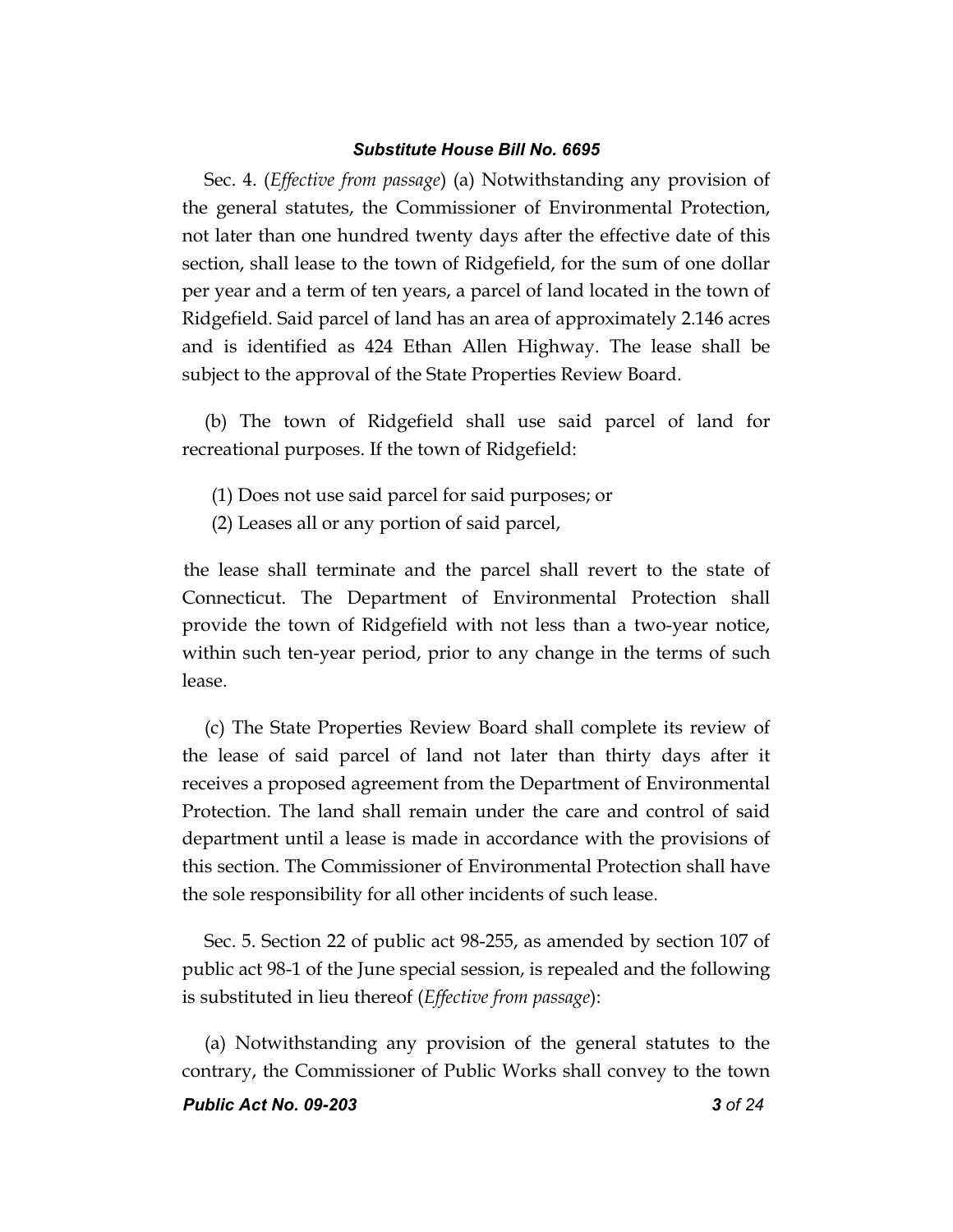Sec. 4. (*Effective from passage*) (a) Notwithstanding any provision of the general statutes, the Commissioner of Environmental Protection, not later than one hundred twenty days after the effective date of this section, shall lease to the town of Ridgefield, for the sum of one dollar per year and a term of ten years, a parcel of land located in the town of Ridgefield. Said parcel of land has an area of approximately 2.146 acres and is identified as 424 Ethan Allen Highway. The lease shall be subject to the approval of the State Properties Review Board.

(b) The town of Ridgefield shall use said parcel of land for recreational purposes. If the town of Ridgefield:

- (1) Does not use said parcel for said purposes; or
- (2) Leases all or any portion of said parcel,

the lease shall terminate and the parcel shall revert to the state of Connecticut. The Department of Environmental Protection shall provide the town of Ridgefield with not less than a two-year notice, within such ten-year period, prior to any change in the terms of such lease.

(c) The State Properties Review Board shall complete its review of the lease of said parcel of land not later than thirty days after it receives a proposed agreement from the Department of Environmental Protection. The land shall remain under the care and control of said department until a lease is made in accordance with the provisions of this section. The Commissioner of Environmental Protection shall have the sole responsibility for all other incidents of such lease.

Sec. 5. Section 22 of public act 98-255, as amended by section 107 of public act 98-1 of the June special session, is repealed and the following is substituted in lieu thereof (*Effective from passage*):

(a) Notwithstanding any provision of the general statutes to the contrary, the Commissioner of Public Works shall convey to the town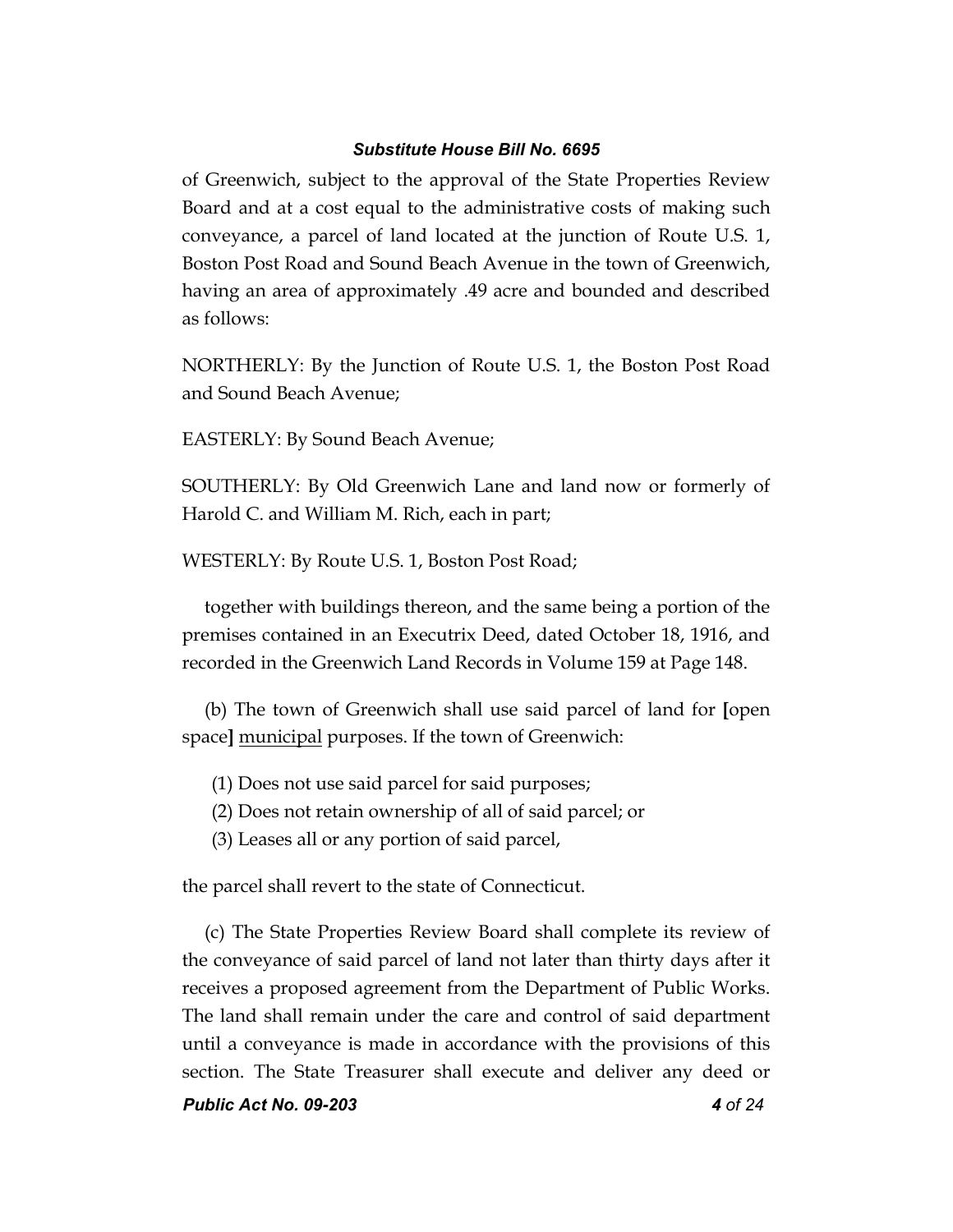of Greenwich, subject to the approval of the State Properties Review Board and at a cost equal to the administrative costs of making such conveyance, a parcel of land located at the junction of Route U.S. 1, Boston Post Road and Sound Beach Avenue in the town of Greenwich, having an area of approximately .49 acre and bounded and described as follows:

NORTHERLY: By the Junction of Route U.S. 1, the Boston Post Road and Sound Beach Avenue;

EASTERLY: By Sound Beach Avenue;

SOUTHERLY: By Old Greenwich Lane and land now or formerly of Harold C. and William M. Rich, each in part;

WESTERLY: By Route U.S. 1, Boston Post Road;

together with buildings thereon, and the same being a portion of the premises contained in an Executrix Deed, dated October 18, 1916, and recorded in the Greenwich Land Records in Volume 159 at Page 148.

(b) The town of Greenwich shall use said parcel of land for **[**open space**]** municipal purposes. If the town of Greenwich:

- (1) Does not use said parcel for said purposes;
- (2) Does not retain ownership of all of said parcel; or
- (3) Leases all or any portion of said parcel,

the parcel shall revert to the state of Connecticut.

(c) The State Properties Review Board shall complete its review of the conveyance of said parcel of land not later than thirty days after it receives a proposed agreement from the Department of Public Works. The land shall remain under the care and control of said department until a conveyance is made in accordance with the provisions of this section. The State Treasurer shall execute and deliver any deed or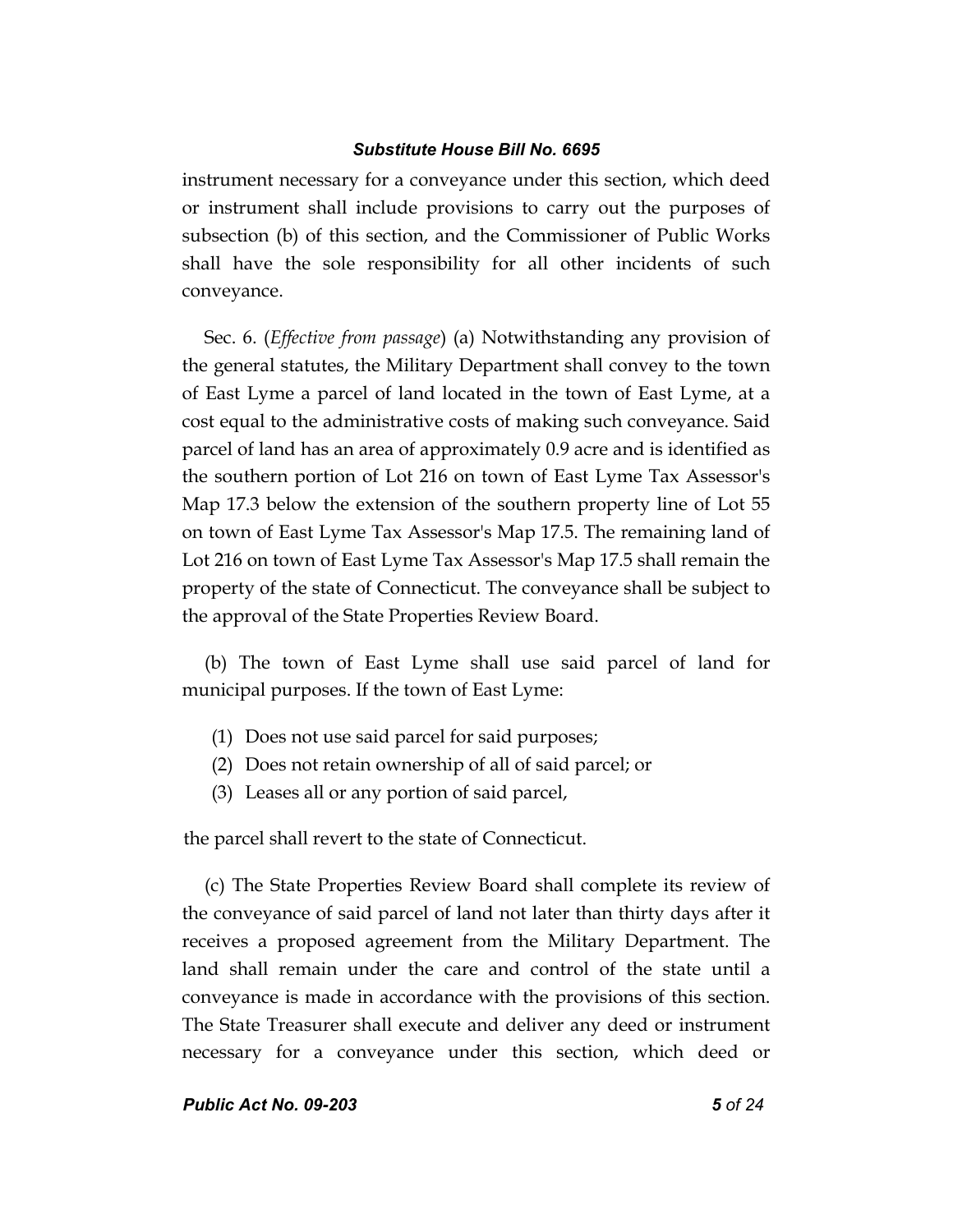instrument necessary for a conveyance under this section, which deed or instrument shall include provisions to carry out the purposes of subsection (b) of this section, and the Commissioner of Public Works shall have the sole responsibility for all other incidents of such conveyance.

Sec. 6. (*Effective from passage*) (a) Notwithstanding any provision of the general statutes, the Military Department shall convey to the town of East Lyme a parcel of land located in the town of East Lyme, at a cost equal to the administrative costs of making such conveyance. Said parcel of land has an area of approximately 0.9 acre and is identified as the southern portion of Lot 216 on town of East Lyme Tax Assessor's Map 17.3 below the extension of the southern property line of Lot 55 on town of East Lyme Tax Assessor's Map 17.5. The remaining land of Lot 216 on town of East Lyme Tax Assessor's Map 17.5 shall remain the property of the state of Connecticut. The conveyance shall be subject to the approval of the State Properties Review Board.

(b) The town of East Lyme shall use said parcel of land for municipal purposes. If the town of East Lyme:

- (1) Does not use said parcel for said purposes;
- (2) Does not retain ownership of all of said parcel; or
- (3) Leases all or any portion of said parcel,

the parcel shall revert to the state of Connecticut.

(c) The State Properties Review Board shall complete its review of the conveyance of said parcel of land not later than thirty days after it receives a proposed agreement from the Military Department. The land shall remain under the care and control of the state until a conveyance is made in accordance with the provisions of this section. The State Treasurer shall execute and deliver any deed or instrument necessary for a conveyance under this section, which deed or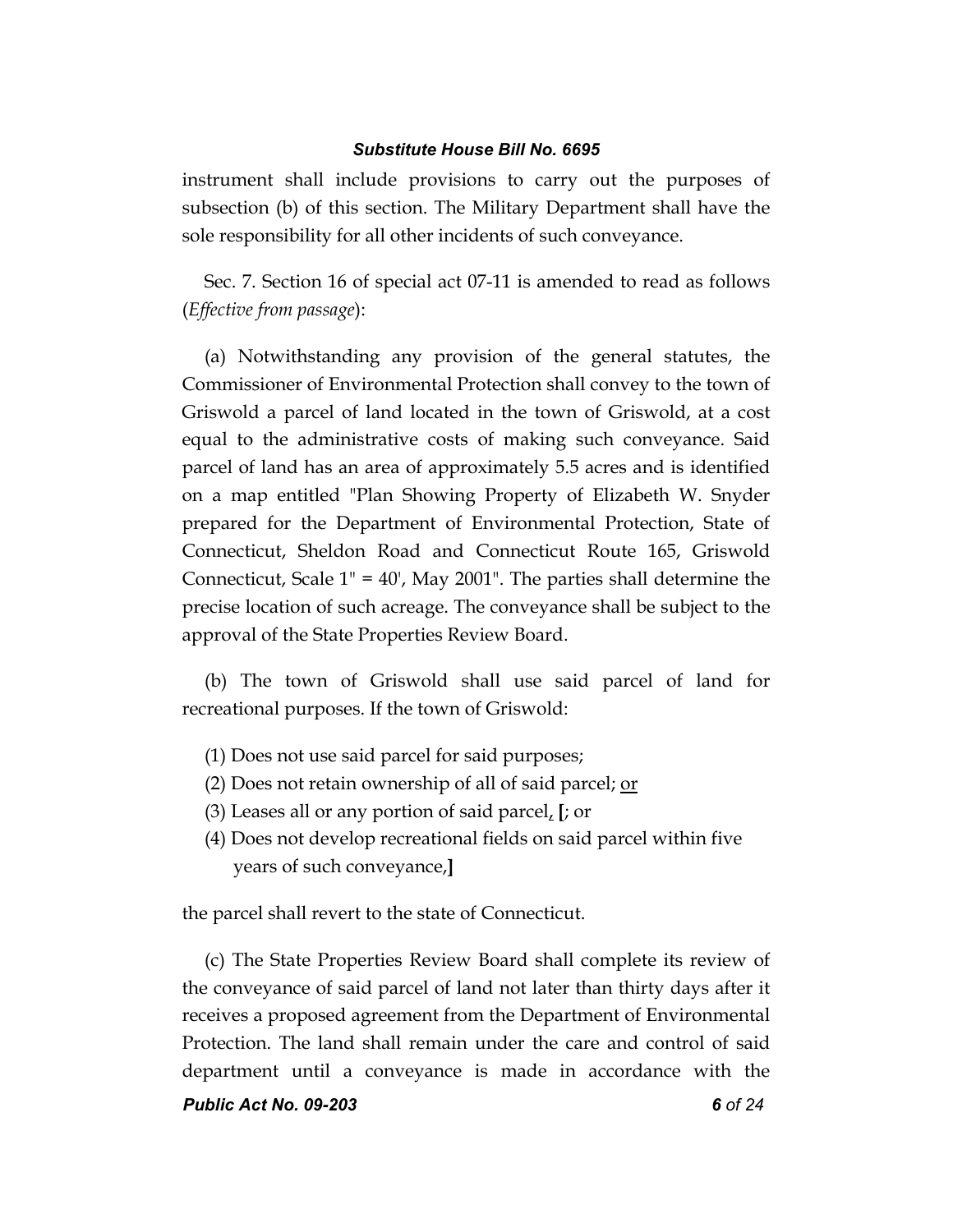instrument shall include provisions to carry out the purposes of subsection (b) of this section. The Military Department shall have the sole responsibility for all other incidents of such conveyance.

Sec. 7. Section 16 of special act 07-11 is amended to read as follows (*Effective from passage*):

(a) Notwithstanding any provision of the general statutes, the Commissioner of Environmental Protection shall convey to the town of Griswold a parcel of land located in the town of Griswold, at a cost equal to the administrative costs of making such conveyance. Said parcel of land has an area of approximately 5.5 acres and is identified on a map entitled "Plan Showing Property of Elizabeth W. Snyder prepared for the Department of Environmental Protection, State of Connecticut, Sheldon Road and Connecticut Route 165, Griswold Connecticut, Scale 1" = 40', May 2001". The parties shall determine the precise location of such acreage. The conveyance shall be subject to the approval of the State Properties Review Board.

(b) The town of Griswold shall use said parcel of land for recreational purposes. If the town of Griswold:

- (1) Does not use said parcel for said purposes;
- (2) Does not retain ownership of all of said parcel; or
- (3) Leases all or any portion of said parcel, **[**; or
- (4) Does not develop recreational fields on said parcel within five years of such conveyance,**]**

the parcel shall revert to the state of Connecticut.

(c) The State Properties Review Board shall complete its review of the conveyance of said parcel of land not later than thirty days after it receives a proposed agreement from the Department of Environmental Protection. The land shall remain under the care and control of said department until a conveyance is made in accordance with the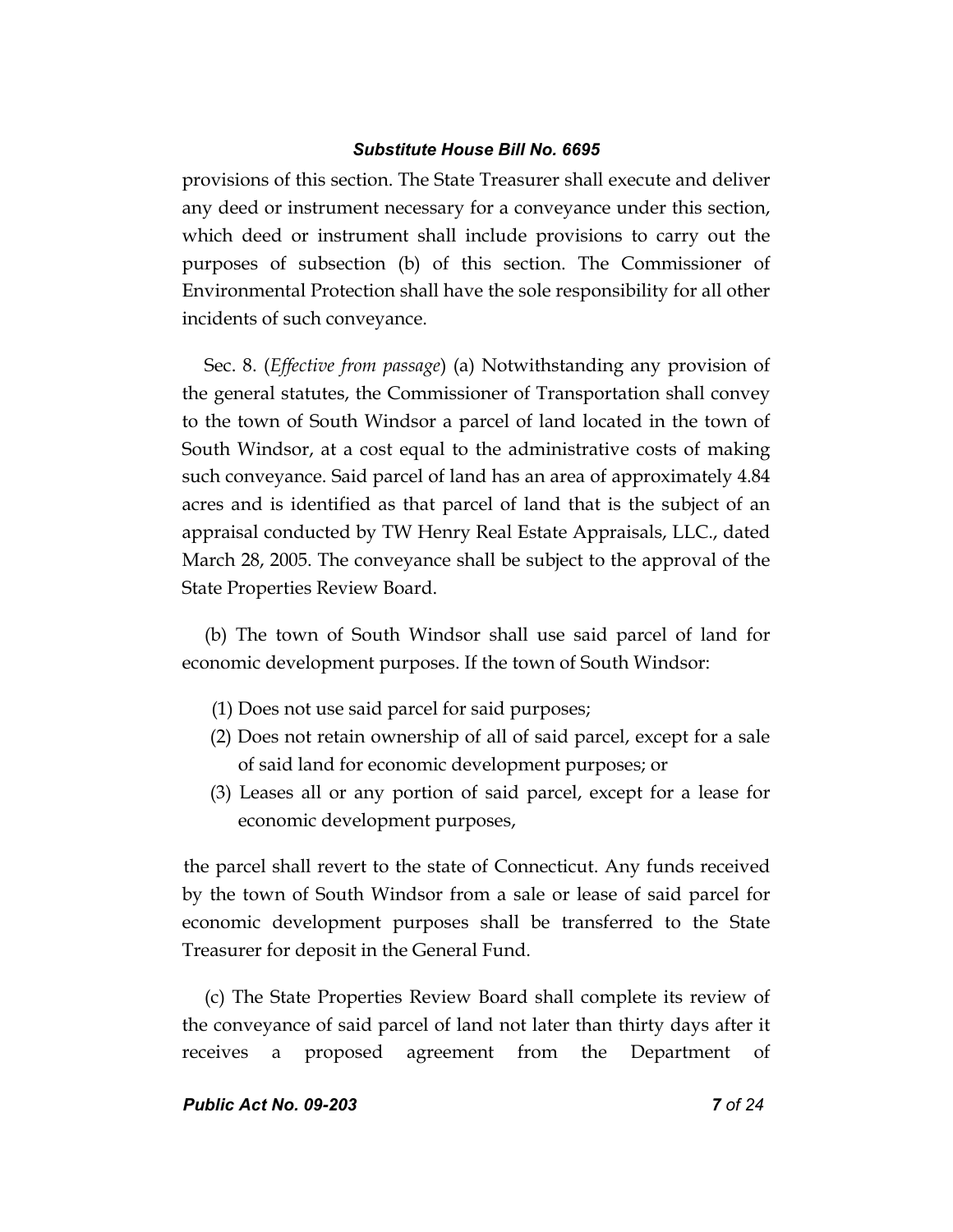provisions of this section. The State Treasurer shall execute and deliver any deed or instrument necessary for a conveyance under this section, which deed or instrument shall include provisions to carry out the purposes of subsection (b) of this section. The Commissioner of Environmental Protection shall have the sole responsibility for all other incidents of such conveyance.

Sec. 8. (*Effective from passage*) (a) Notwithstanding any provision of the general statutes, the Commissioner of Transportation shall convey to the town of South Windsor a parcel of land located in the town of South Windsor, at a cost equal to the administrative costs of making such conveyance. Said parcel of land has an area of approximately 4.84 acres and is identified as that parcel of land that is the subject of an appraisal conducted by TW Henry Real Estate Appraisals, LLC., dated March 28, 2005. The conveyance shall be subject to the approval of the State Properties Review Board.

(b) The town of South Windsor shall use said parcel of land for economic development purposes. If the town of South Windsor:

- (1) Does not use said parcel for said purposes;
- (2) Does not retain ownership of all of said parcel, except for a sale of said land for economic development purposes; or
- (3) Leases all or any portion of said parcel, except for a lease for economic development purposes,

the parcel shall revert to the state of Connecticut. Any funds received by the town of South Windsor from a sale or lease of said parcel for economic development purposes shall be transferred to the State Treasurer for deposit in the General Fund.

(c) The State Properties Review Board shall complete its review of the conveyance of said parcel of land not later than thirty days after it receives a proposed agreement from the Department of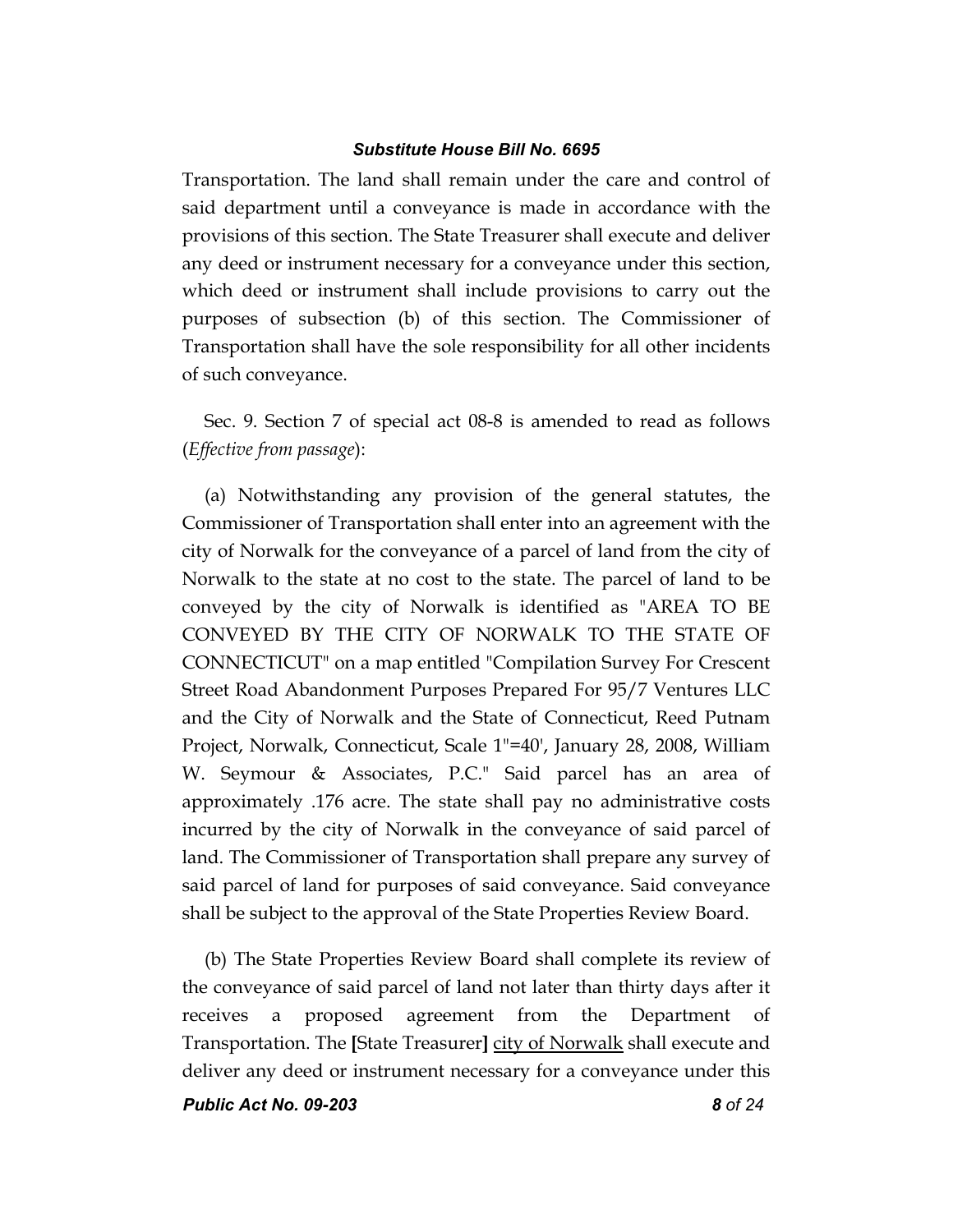Transportation. The land shall remain under the care and control of said department until a conveyance is made in accordance with the provisions of this section. The State Treasurer shall execute and deliver any deed or instrument necessary for a conveyance under this section, which deed or instrument shall include provisions to carry out the purposes of subsection (b) of this section. The Commissioner of Transportation shall have the sole responsibility for all other incidents of such conveyance.

Sec. 9. Section 7 of special act 08-8 is amended to read as follows (*Effective from passage*):

(a) Notwithstanding any provision of the general statutes, the Commissioner of Transportation shall enter into an agreement with the city of Norwalk for the conveyance of a parcel of land from the city of Norwalk to the state at no cost to the state. The parcel of land to be conveyed by the city of Norwalk is identified as "AREA TO BE CONVEYED BY THE CITY OF NORWALK TO THE STATE OF CONNECTICUT" on a map entitled "Compilation Survey For Crescent Street Road Abandonment Purposes Prepared For 95/7 Ventures LLC and the City of Norwalk and the State of Connecticut, Reed Putnam Project, Norwalk, Connecticut, Scale 1"=40', January 28, 2008, William W. Seymour & Associates, P.C." Said parcel has an area of approximately .176 acre. The state shall pay no administrative costs incurred by the city of Norwalk in the conveyance of said parcel of land. The Commissioner of Transportation shall prepare any survey of said parcel of land for purposes of said conveyance. Said conveyance shall be subject to the approval of the State Properties Review Board.

(b) The State Properties Review Board shall complete its review of the conveyance of said parcel of land not later than thirty days after it receives a proposed agreement from the Department of Transportation. The **[**State Treasurer**]** city of Norwalk shall execute and deliver any deed or instrument necessary for a conveyance under this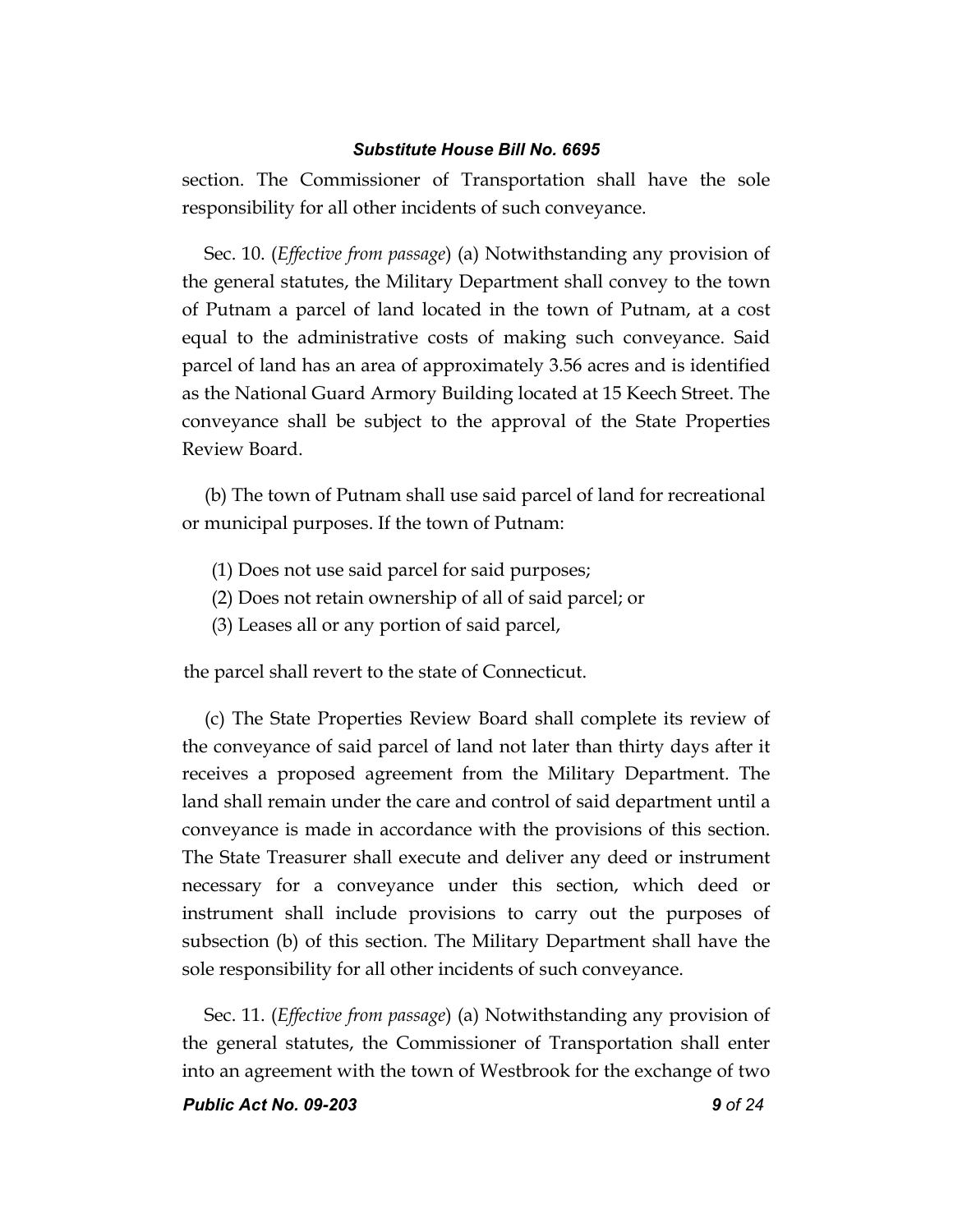section. The Commissioner of Transportation shall have the sole responsibility for all other incidents of such conveyance.

Sec. 10. (*Effective from passage*) (a) Notwithstanding any provision of the general statutes, the Military Department shall convey to the town of Putnam a parcel of land located in the town of Putnam, at a cost equal to the administrative costs of making such conveyance. Said parcel of land has an area of approximately 3.56 acres and is identified as the National Guard Armory Building located at 15 Keech Street. The conveyance shall be subject to the approval of the State Properties Review Board.

(b) The town of Putnam shall use said parcel of land for recreational or municipal purposes. If the town of Putnam:

- (1) Does not use said parcel for said purposes;
- (2) Does not retain ownership of all of said parcel; or
- (3) Leases all or any portion of said parcel,

the parcel shall revert to the state of Connecticut.

(c) The State Properties Review Board shall complete its review of the conveyance of said parcel of land not later than thirty days after it receives a proposed agreement from the Military Department. The land shall remain under the care and control of said department until a conveyance is made in accordance with the provisions of this section. The State Treasurer shall execute and deliver any deed or instrument necessary for a conveyance under this section, which deed or instrument shall include provisions to carry out the purposes of subsection (b) of this section. The Military Department shall have the sole responsibility for all other incidents of such conveyance.

Sec. 11. (*Effective from passage*) (a) Notwithstanding any provision of the general statutes, the Commissioner of Transportation shall enter into an agreement with the town of Westbrook for the exchange of two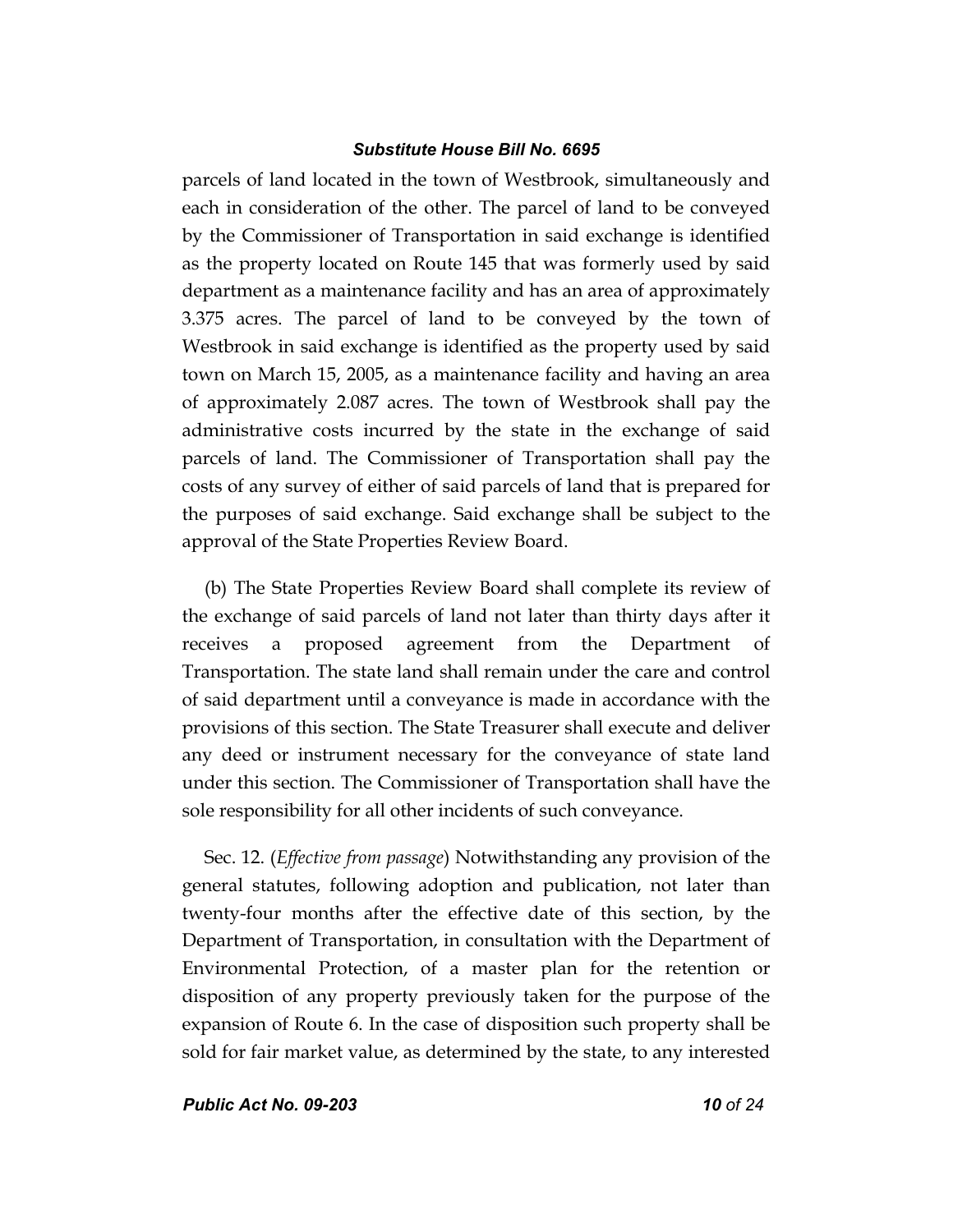parcels of land located in the town of Westbrook, simultaneously and each in consideration of the other. The parcel of land to be conveyed by the Commissioner of Transportation in said exchange is identified as the property located on Route 145 that was formerly used by said department as a maintenance facility and has an area of approximately 3.375 acres. The parcel of land to be conveyed by the town of Westbrook in said exchange is identified as the property used by said town on March 15, 2005, as a maintenance facility and having an area of approximately 2.087 acres. The town of Westbrook shall pay the administrative costs incurred by the state in the exchange of said parcels of land. The Commissioner of Transportation shall pay the costs of any survey of either of said parcels of land that is prepared for the purposes of said exchange. Said exchange shall be subject to the approval of the State Properties Review Board.

(b) The State Properties Review Board shall complete its review of the exchange of said parcels of land not later than thirty days after it receives a proposed agreement from the Department of Transportation. The state land shall remain under the care and control of said department until a conveyance is made in accordance with the provisions of this section. The State Treasurer shall execute and deliver any deed or instrument necessary for the conveyance of state land under this section. The Commissioner of Transportation shall have the sole responsibility for all other incidents of such conveyance.

Sec. 12. (*Effective from passage*) Notwithstanding any provision of the general statutes, following adoption and publication, not later than twenty-four months after the effective date of this section, by the Department of Transportation, in consultation with the Department of Environmental Protection, of a master plan for the retention or disposition of any property previously taken for the purpose of the expansion of Route 6. In the case of disposition such property shall be sold for fair market value, as determined by the state, to any interested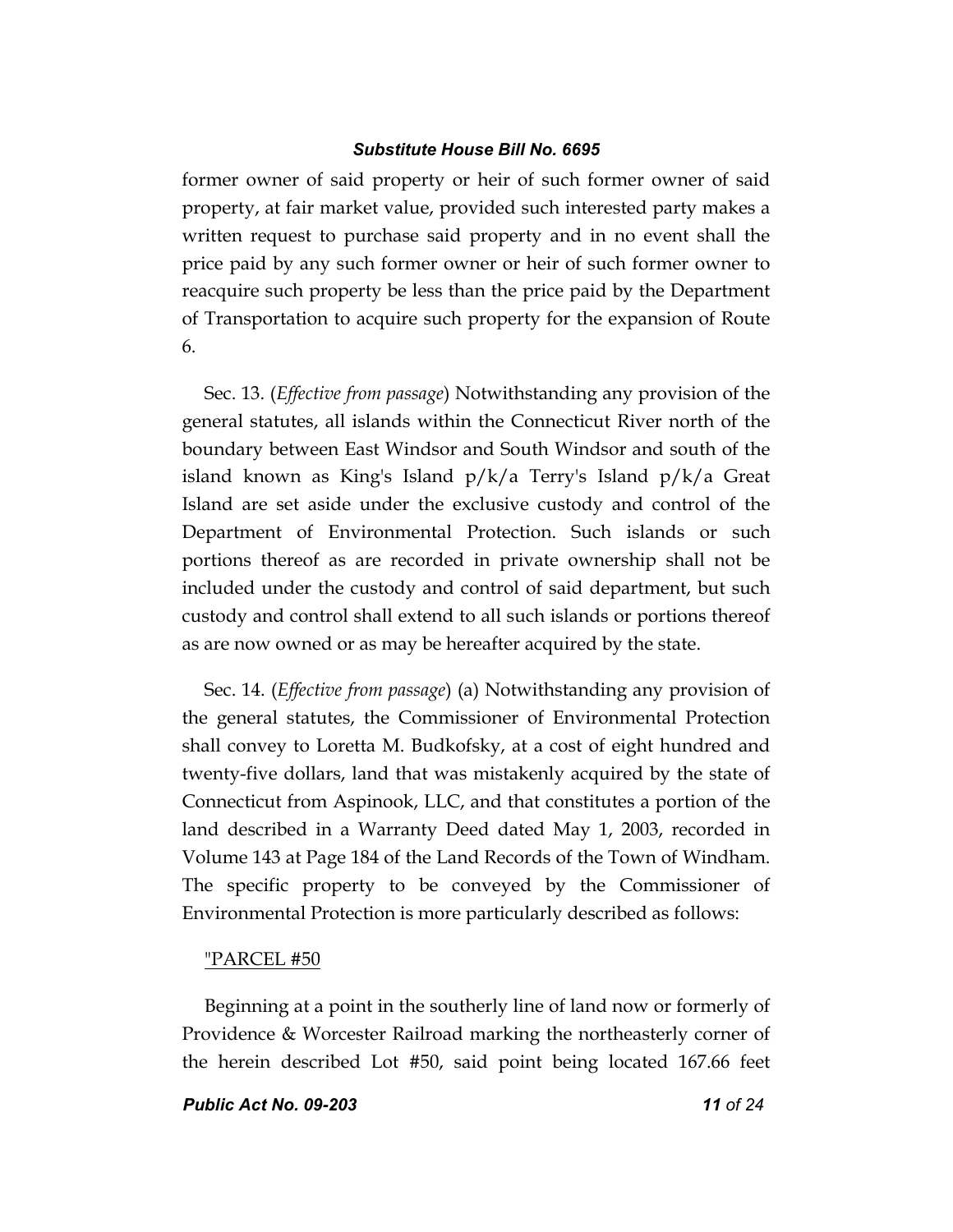former owner of said property or heir of such former owner of said property, at fair market value, provided such interested party makes a written request to purchase said property and in no event shall the price paid by any such former owner or heir of such former owner to reacquire such property be less than the price paid by the Department of Transportation to acquire such property for the expansion of Route 6.

Sec. 13. (*Effective from passage*) Notwithstanding any provision of the general statutes, all islands within the Connecticut River north of the boundary between East Windsor and South Windsor and south of the island known as King's Island p/k/a Terry's Island p/k/a Great Island are set aside under the exclusive custody and control of the Department of Environmental Protection. Such islands or such portions thereof as are recorded in private ownership shall not be included under the custody and control of said department, but such custody and control shall extend to all such islands or portions thereof as are now owned or as may be hereafter acquired by the state.

Sec. 14. (*Effective from passage*) (a) Notwithstanding any provision of the general statutes, the Commissioner of Environmental Protection shall convey to Loretta M. Budkofsky, at a cost of eight hundred and twenty-five dollars, land that was mistakenly acquired by the state of Connecticut from Aspinook, LLC, and that constitutes a portion of the land described in a Warranty Deed dated May 1, 2003, recorded in Volume 143 at Page 184 of the Land Records of the Town of Windham. The specific property to be conveyed by the Commissioner of Environmental Protection is more particularly described as follows:

## "PARCEL #50

Beginning at a point in the southerly line of land now or formerly of Providence & Worcester Railroad marking the northeasterly corner of the herein described Lot #50, said point being located 167.66 feet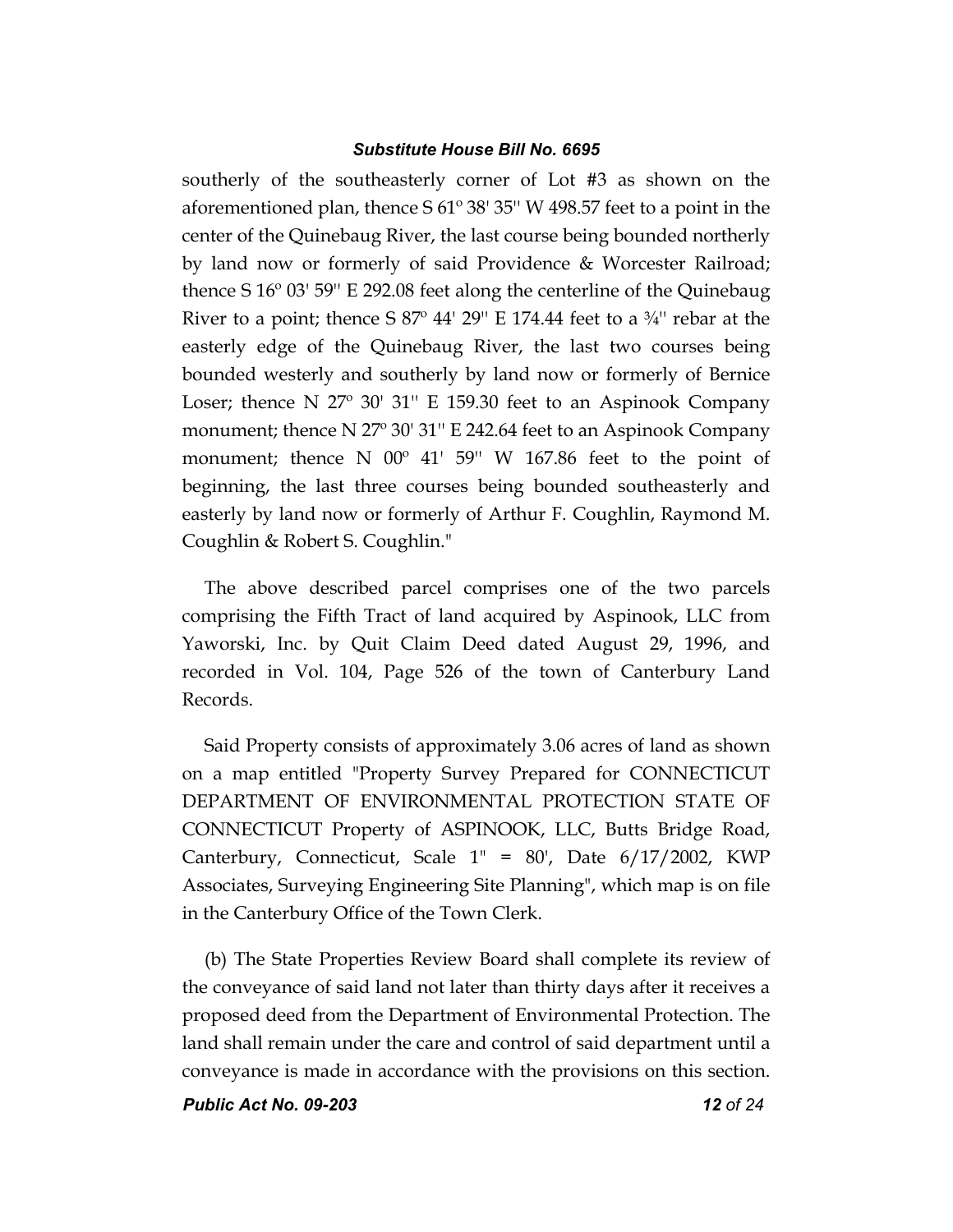southerly of the southeasterly corner of Lot #3 as shown on the aforementioned plan, thence S 61º 38' 35'' W 498.57 feet to a point in the center of the Quinebaug River, the last course being bounded northerly by land now or formerly of said Providence & Worcester Railroad; thence S 16º 03' 59'' E 292.08 feet along the centerline of the Quinebaug River to a point; thence S  $87^\circ$  44' 29" E 174.44 feet to a  $\frac{3}{4}$ " rebar at the easterly edge of the Quinebaug River, the last two courses being bounded westerly and southerly by land now or formerly of Bernice Loser; thence N 27º 30' 31'' E 159.30 feet to an Aspinook Company monument; thence N 27º 30' 31'' E 242.64 feet to an Aspinook Company monument; thence N 00º 41' 59'' W 167.86 feet to the point of beginning, the last three courses being bounded southeasterly and easterly by land now or formerly of Arthur F. Coughlin, Raymond M. Coughlin & Robert S. Coughlin."

The above described parcel comprises one of the two parcels comprising the Fifth Tract of land acquired by Aspinook, LLC from Yaworski, Inc. by Quit Claim Deed dated August 29, 1996, and recorded in Vol. 104, Page 526 of the town of Canterbury Land Records.

Said Property consists of approximately 3.06 acres of land as shown on a map entitled "Property Survey Prepared for CONNECTICUT DEPARTMENT OF ENVIRONMENTAL PROTECTION STATE OF CONNECTICUT Property of ASPINOOK, LLC, Butts Bridge Road, Canterbury, Connecticut, Scale  $1'' = 80'$ , Date  $6/17/2002$ , KWP Associates, Surveying Engineering Site Planning", which map is on file in the Canterbury Office of the Town Clerk.

(b) The State Properties Review Board shall complete its review of the conveyance of said land not later than thirty days after it receives a proposed deed from the Department of Environmental Protection. The land shall remain under the care and control of said department until a conveyance is made in accordance with the provisions on this section.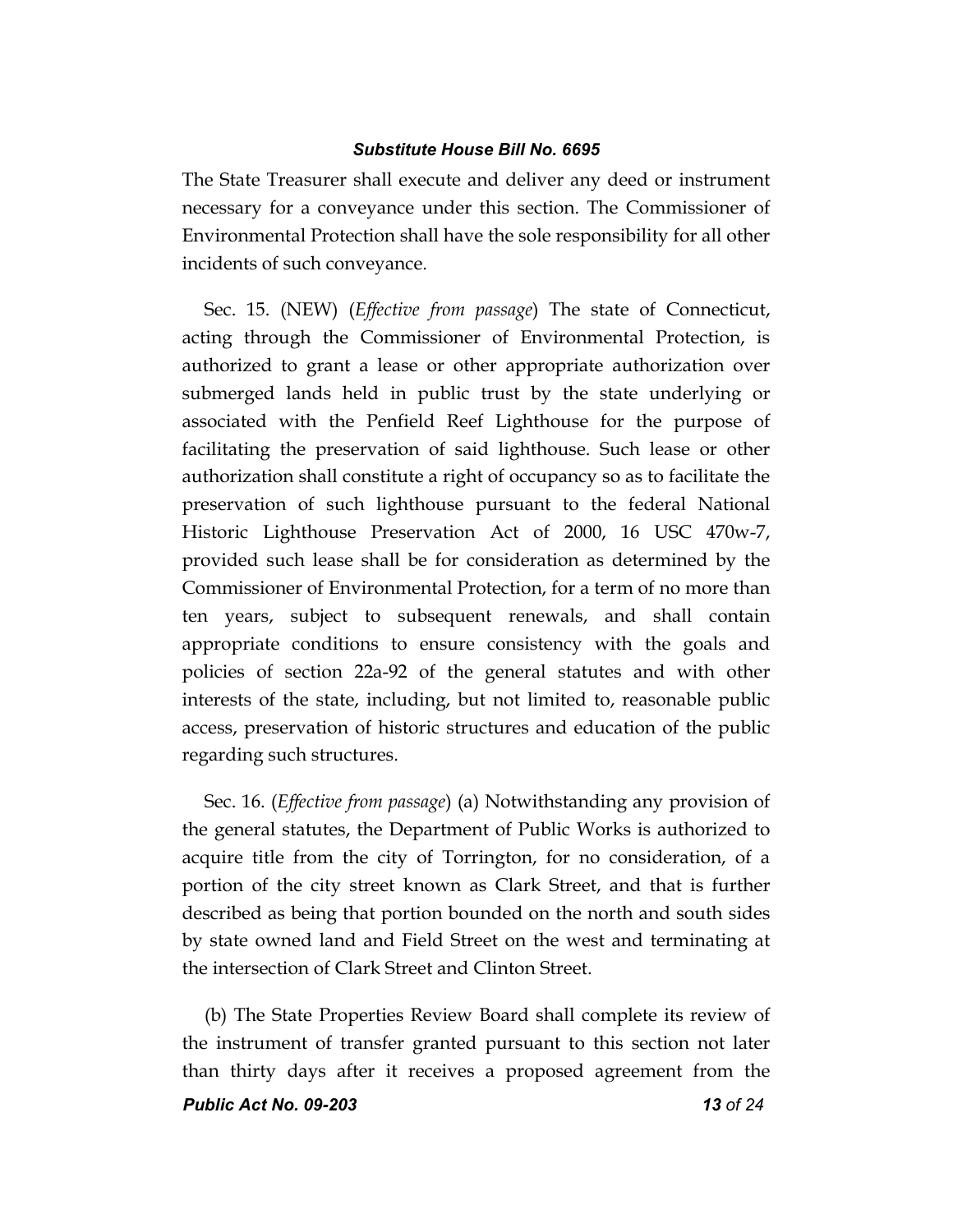The State Treasurer shall execute and deliver any deed or instrument necessary for a conveyance under this section. The Commissioner of Environmental Protection shall have the sole responsibility for all other incidents of such conveyance.

Sec. 15. (NEW) (*Effective from passage*) The state of Connecticut, acting through the Commissioner of Environmental Protection, is authorized to grant a lease or other appropriate authorization over submerged lands held in public trust by the state underlying or associated with the Penfield Reef Lighthouse for the purpose of facilitating the preservation of said lighthouse. Such lease or other authorization shall constitute a right of occupancy so as to facilitate the preservation of such lighthouse pursuant to the federal National Historic Lighthouse Preservation Act of 2000, 16 USC 470w-7, provided such lease shall be for consideration as determined by the Commissioner of Environmental Protection, for a term of no more than ten years, subject to subsequent renewals, and shall contain appropriate conditions to ensure consistency with the goals and policies of section 22a-92 of the general statutes and with other interests of the state, including, but not limited to, reasonable public access, preservation of historic structures and education of the public regarding such structures.

Sec. 16. (*Effective from passage*) (a) Notwithstanding any provision of the general statutes, the Department of Public Works is authorized to acquire title from the city of Torrington, for no consideration, of a portion of the city street known as Clark Street, and that is further described as being that portion bounded on the north and south sides by state owned land and Field Street on the west and terminating at the intersection of Clark Street and Clinton Street.

(b) The State Properties Review Board shall complete its review of the instrument of transfer granted pursuant to this section not later than thirty days after it receives a proposed agreement from the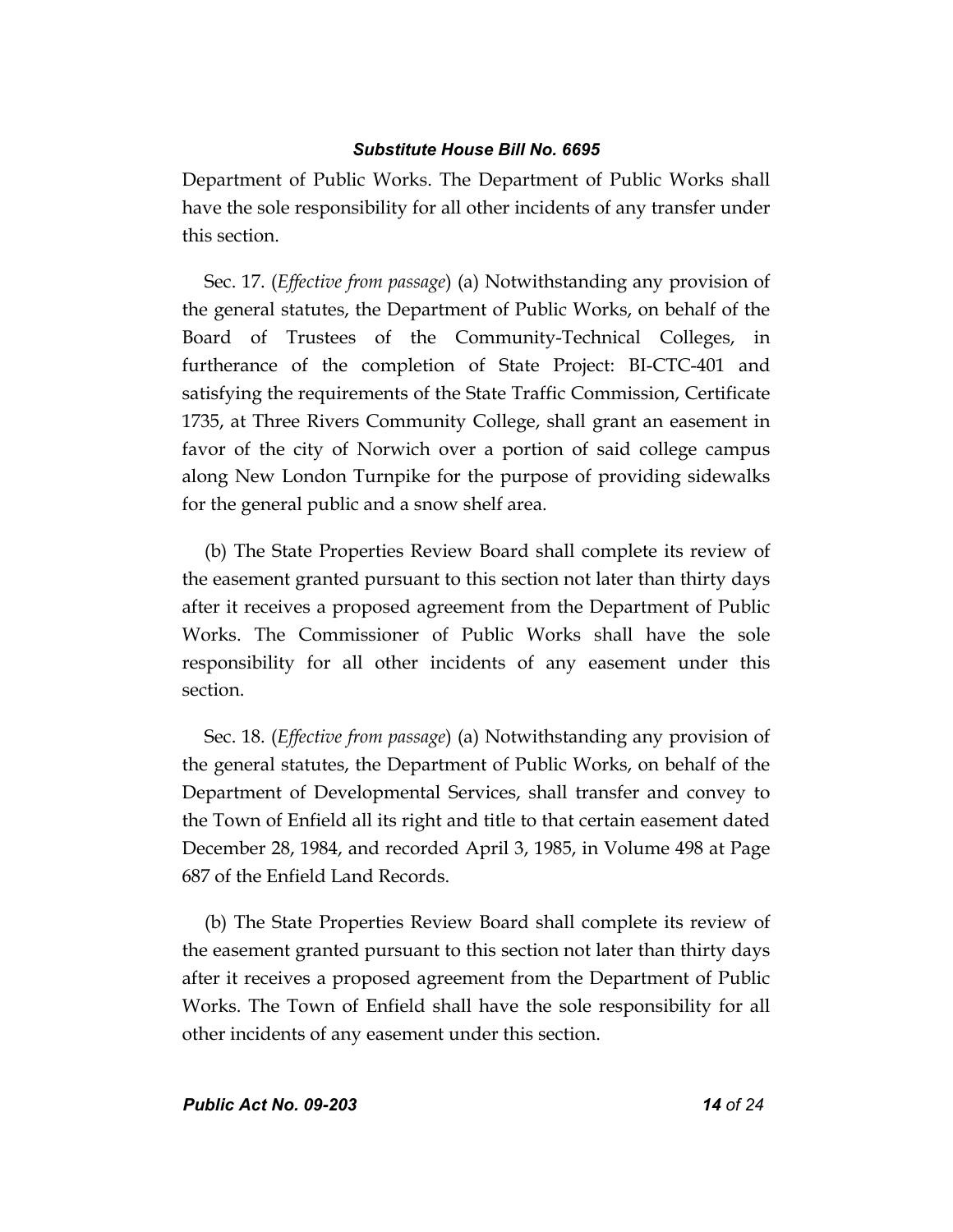Department of Public Works. The Department of Public Works shall have the sole responsibility for all other incidents of any transfer under this section.

Sec. 17. (*Effective from passage*) (a) Notwithstanding any provision of the general statutes, the Department of Public Works, on behalf of the Board of Trustees of the Community-Technical Colleges, in furtherance of the completion of State Project: BI-CTC-401 and satisfying the requirements of the State Traffic Commission, Certificate 1735, at Three Rivers Community College, shall grant an easement in favor of the city of Norwich over a portion of said college campus along New London Turnpike for the purpose of providing sidewalks for the general public and a snow shelf area.

(b) The State Properties Review Board shall complete its review of the easement granted pursuant to this section not later than thirty days after it receives a proposed agreement from the Department of Public Works. The Commissioner of Public Works shall have the sole responsibility for all other incidents of any easement under this section.

Sec. 18. (*Effective from passage*) (a) Notwithstanding any provision of the general statutes, the Department of Public Works, on behalf of the Department of Developmental Services, shall transfer and convey to the Town of Enfield all its right and title to that certain easement dated December 28, 1984, and recorded April 3, 1985, in Volume 498 at Page 687 of the Enfield Land Records.

(b) The State Properties Review Board shall complete its review of the easement granted pursuant to this section not later than thirty days after it receives a proposed agreement from the Department of Public Works. The Town of Enfield shall have the sole responsibility for all other incidents of any easement under this section.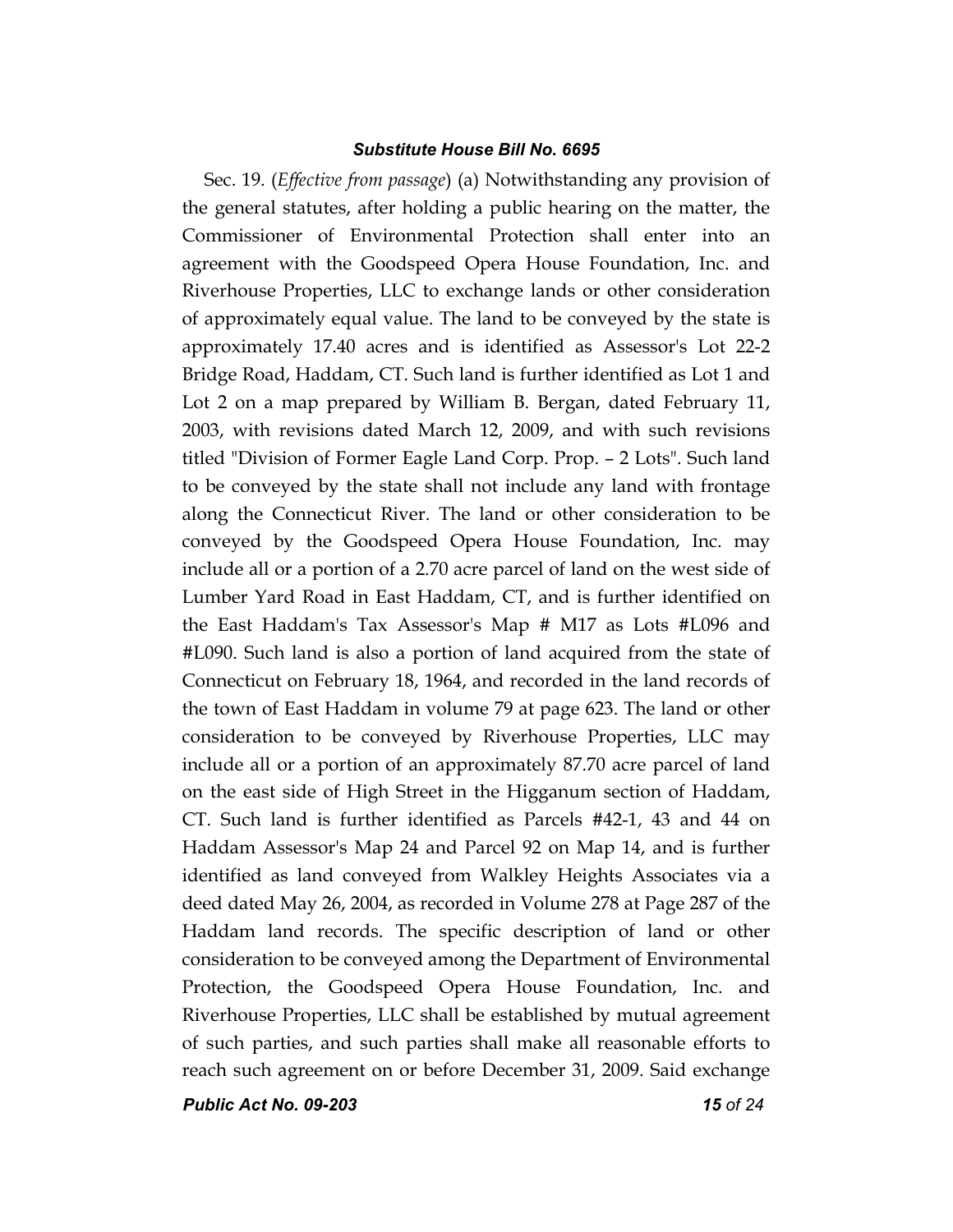Sec. 19. (*Effective from passage*) (a) Notwithstanding any provision of the general statutes, after holding a public hearing on the matter, the Commissioner of Environmental Protection shall enter into an agreement with the Goodspeed Opera House Foundation, Inc. and Riverhouse Properties, LLC to exchange lands or other consideration of approximately equal value. The land to be conveyed by the state is approximately 17.40 acres and is identified as Assessor's Lot 22-2 Bridge Road, Haddam, CT. Such land is further identified as Lot 1 and Lot 2 on a map prepared by William B. Bergan, dated February 11, 2003, with revisions dated March 12, 2009, and with such revisions titled "Division of Former Eagle Land Corp. Prop. – 2 Lots". Such land to be conveyed by the state shall not include any land with frontage along the Connecticut River. The land or other consideration to be conveyed by the Goodspeed Opera House Foundation, Inc. may include all or a portion of a 2.70 acre parcel of land on the west side of Lumber Yard Road in East Haddam, CT, and is further identified on the East Haddam's Tax Assessor's Map # M17 as Lots #L096 and #L090. Such land is also a portion of land acquired from the state of Connecticut on February 18, 1964, and recorded in the land records of the town of East Haddam in volume 79 at page 623. The land or other consideration to be conveyed by Riverhouse Properties, LLC may include all or a portion of an approximately 87.70 acre parcel of land on the east side of High Street in the Higganum section of Haddam, CT. Such land is further identified as Parcels #42-1, 43 and 44 on Haddam Assessor's Map 24 and Parcel 92 on Map 14, and is further identified as land conveyed from Walkley Heights Associates via a deed dated May 26, 2004, as recorded in Volume 278 at Page 287 of the Haddam land records. The specific description of land or other consideration to be conveyed among the Department of Environmental Protection, the Goodspeed Opera House Foundation, Inc. and Riverhouse Properties, LLC shall be established by mutual agreement of such parties, and such parties shall make all reasonable efforts to reach such agreement on or before December 31, 2009. Said exchange

*Public Act No. 09-203 15 of 24*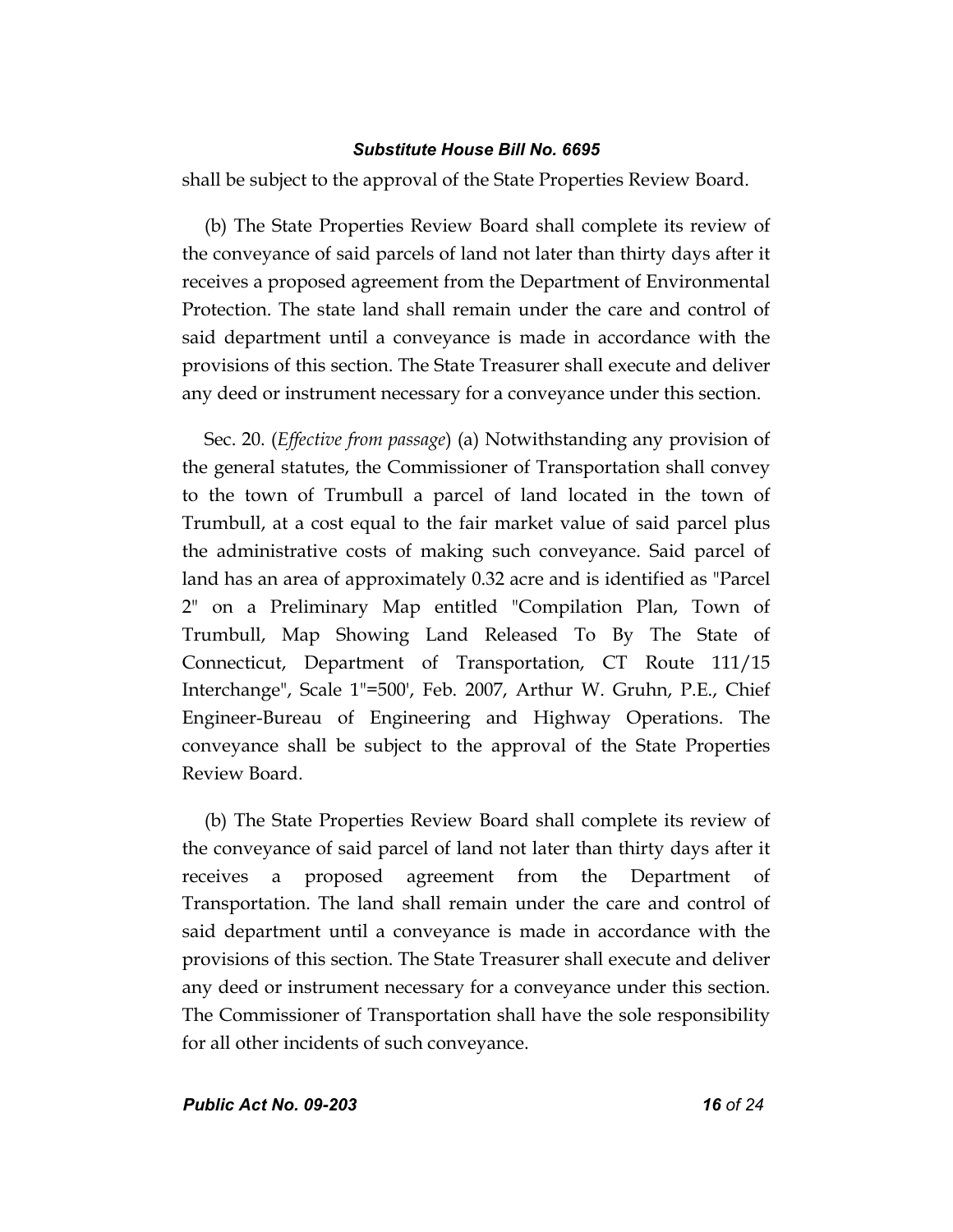shall be subject to the approval of the State Properties Review Board.

(b) The State Properties Review Board shall complete its review of the conveyance of said parcels of land not later than thirty days after it receives a proposed agreement from the Department of Environmental Protection. The state land shall remain under the care and control of said department until a conveyance is made in accordance with the provisions of this section. The State Treasurer shall execute and deliver any deed or instrument necessary for a conveyance under this section.

Sec. 20. (*Effective from passage*) (a) Notwithstanding any provision of the general statutes, the Commissioner of Transportation shall convey to the town of Trumbull a parcel of land located in the town of Trumbull, at a cost equal to the fair market value of said parcel plus the administrative costs of making such conveyance. Said parcel of land has an area of approximately 0.32 acre and is identified as "Parcel 2" on a Preliminary Map entitled "Compilation Plan, Town of Trumbull, Map Showing Land Released To By The State of Connecticut, Department of Transportation, CT Route 111/15 Interchange", Scale 1"=500', Feb. 2007, Arthur W. Gruhn, P.E., Chief Engineer-Bureau of Engineering and Highway Operations. The conveyance shall be subject to the approval of the State Properties Review Board.

(b) The State Properties Review Board shall complete its review of the conveyance of said parcel of land not later than thirty days after it receives a proposed agreement from the Department of Transportation. The land shall remain under the care and control of said department until a conveyance is made in accordance with the provisions of this section. The State Treasurer shall execute and deliver any deed or instrument necessary for a conveyance under this section. The Commissioner of Transportation shall have the sole responsibility for all other incidents of such conveyance.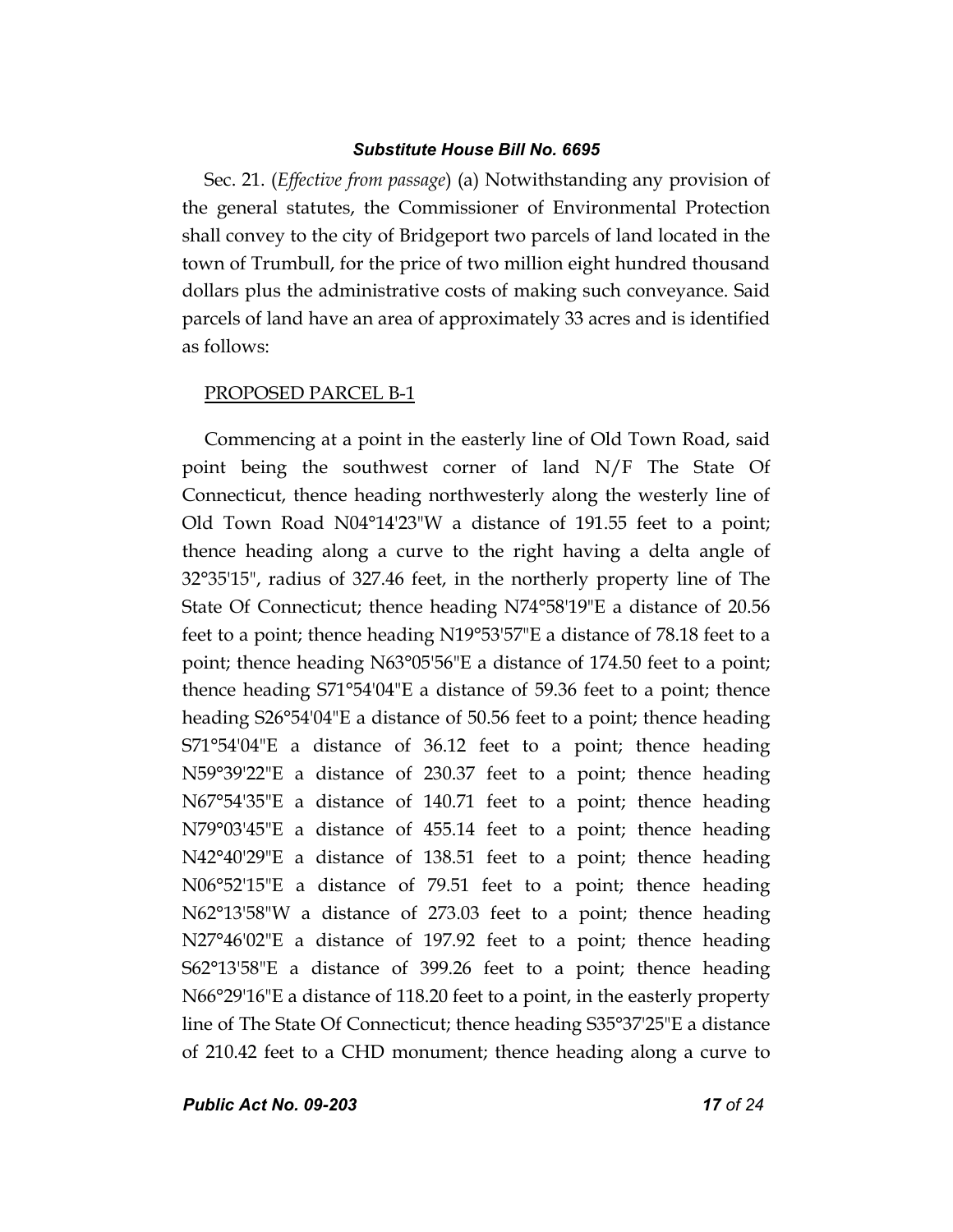Sec. 21. (*Effective from passage*) (a) Notwithstanding any provision of the general statutes, the Commissioner of Environmental Protection shall convey to the city of Bridgeport two parcels of land located in the town of Trumbull, for the price of two million eight hundred thousand dollars plus the administrative costs of making such conveyance. Said parcels of land have an area of approximately 33 acres and is identified as follows:

#### PROPOSED PARCEL B-1

Commencing at a point in the easterly line of Old Town Road, said point being the southwest corner of land N/F The State Of Connecticut, thence heading northwesterly along the westerly line of Old Town Road N04°14'23"W a distance of 191.55 feet to a point; thence heading along a curve to the right having a delta angle of 32°35'15", radius of 327.46 feet, in the northerly property line of The State Of Connecticut; thence heading N74°58'19"E a distance of 20.56 feet to a point; thence heading N19°53'57"E a distance of 78.18 feet to a point; thence heading N63°05'56"E a distance of 174.50 feet to a point; thence heading S71°54'04"E a distance of 59.36 feet to a point; thence heading S26°54'04"E a distance of 50.56 feet to a point; thence heading S71°54'04"E a distance of 36.12 feet to a point; thence heading N59°39'22"E a distance of 230.37 feet to a point; thence heading N67°54'35"E a distance of 140.71 feet to a point; thence heading N79°03'45"E a distance of 455.14 feet to a point; thence heading N42°40'29"E a distance of 138.51 feet to a point; thence heading N06°52'15"E a distance of 79.51 feet to a point; thence heading N62°13'58"W a distance of 273.03 feet to a point; thence heading N27°46'02"E a distance of 197.92 feet to a point; thence heading S62°13'58"E a distance of 399.26 feet to a point; thence heading N66°29'16"E a distance of 118.20 feet to a point, in the easterly property line of The State Of Connecticut; thence heading S35°37'25"E a distance of 210.42 feet to a CHD monument; thence heading along a curve to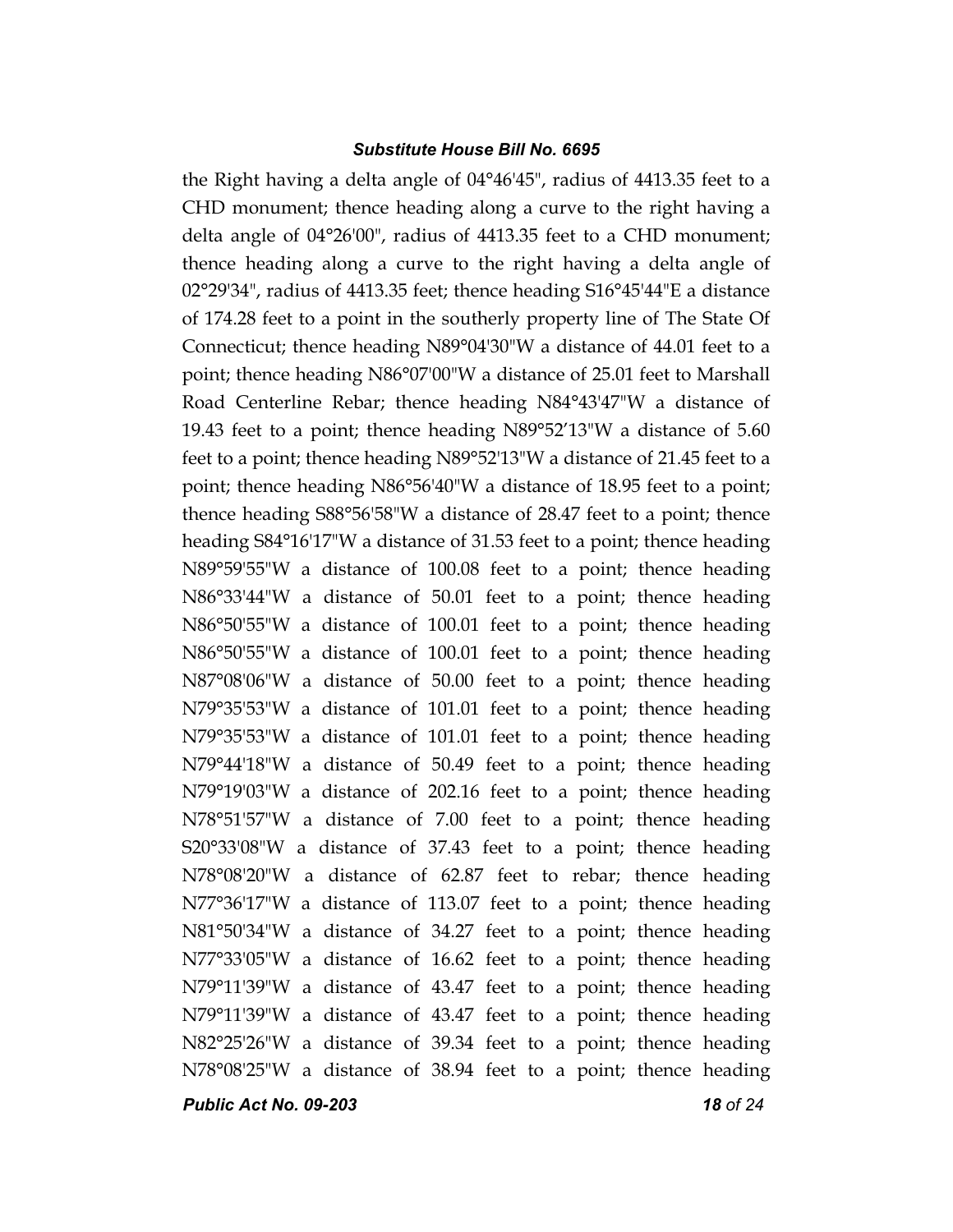the Right having a delta angle of 04°46'45", radius of 4413.35 feet to a CHD monument; thence heading along a curve to the right having a delta angle of 04°26'00", radius of 4413.35 feet to a CHD monument; thence heading along a curve to the right having a delta angle of 02°29'34", radius of 4413.35 feet; thence heading S16°45'44"E a distance of 174.28 feet to a point in the southerly property line of The State Of Connecticut; thence heading N89°04'30"W a distance of 44.01 feet to a point; thence heading N86°07'00"W a distance of 25.01 feet to Marshall Road Centerline Rebar; thence heading N84°43'47"W a distance of 19.43 feet to a point; thence heading N89°52'13"W a distance of 5.60 feet to a point; thence heading N89°52'13"W a distance of 21.45 feet to a point; thence heading N86°56'40"W a distance of 18.95 feet to a point; thence heading S88°56'58"W a distance of 28.47 feet to a point; thence heading S84°16'17"W a distance of 31.53 feet to a point; thence heading N89°59'55"W a distance of 100.08 feet to a point; thence heading N86°33'44"W a distance of 50.01 feet to a point; thence heading N86°50'55"W a distance of 100.01 feet to a point; thence heading N86°50'55"W a distance of 100.01 feet to a point; thence heading N87°08'06"W a distance of 50.00 feet to a point; thence heading N79°35'53"W a distance of 101.01 feet to a point; thence heading N79°35'53"W a distance of 101.01 feet to a point; thence heading N79°44'18"W a distance of 50.49 feet to a point; thence heading N79°19'03"W a distance of 202.16 feet to a point; thence heading N78°51'57"W a distance of 7.00 feet to a point; thence heading S20°33'08"W a distance of 37.43 feet to a point; thence heading N78°08'20"W a distance of 62.87 feet to rebar; thence heading N77°36'17"W a distance of 113.07 feet to a point; thence heading N81°50'34"W a distance of 34.27 feet to a point; thence heading N77°33'05"W a distance of 16.62 feet to a point; thence heading N79°11'39"W a distance of 43.47 feet to a point; thence heading N79°11'39"W a distance of 43.47 feet to a point; thence heading N82°25'26"W a distance of 39.34 feet to a point; thence heading N78°08'25"W a distance of 38.94 feet to a point; thence heading

*Public Act No. 09-203 18 of 24*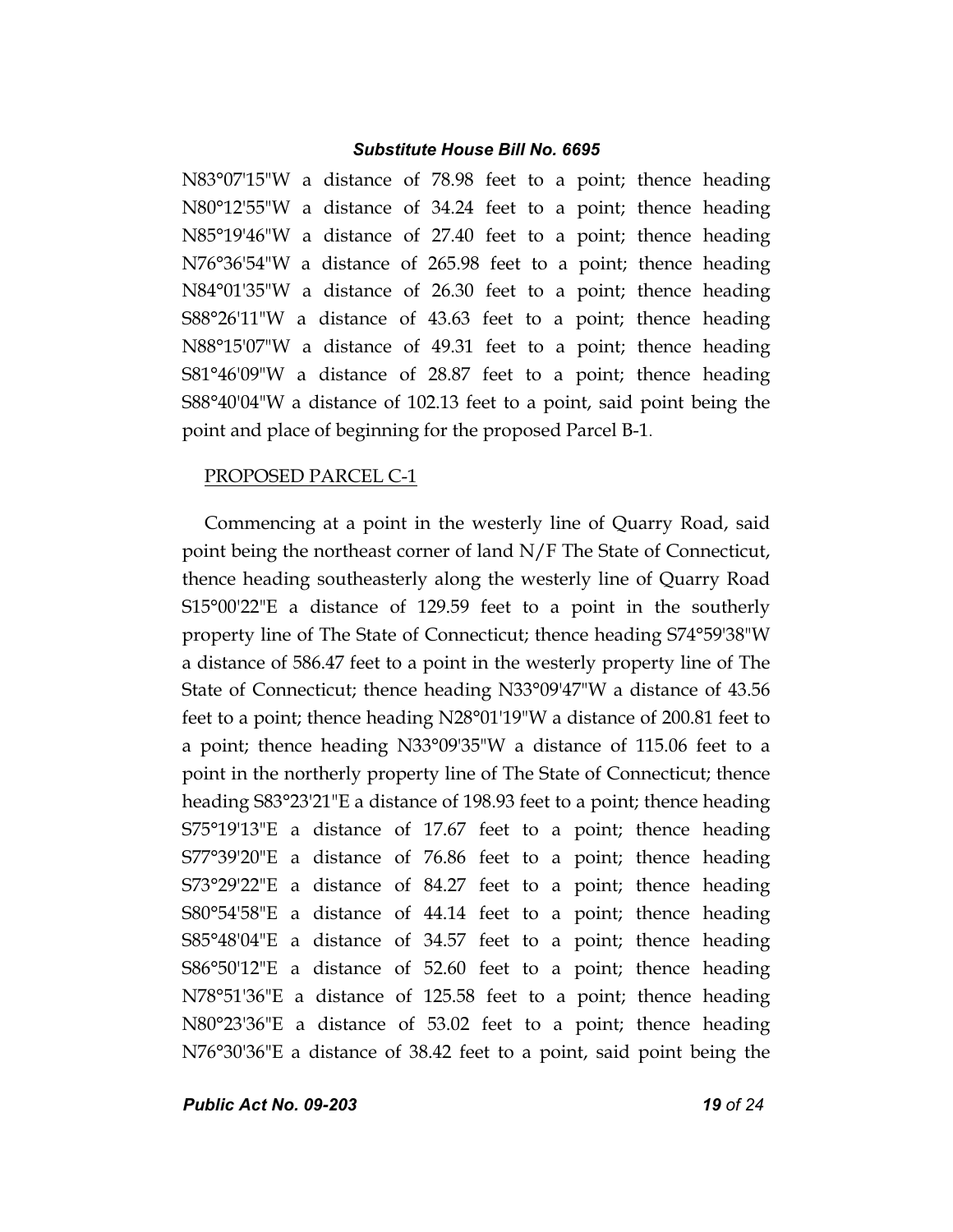N83°07'15"W a distance of 78.98 feet to a point; thence heading N80°12'55"W a distance of 34.24 feet to a point; thence heading N85°19'46"W a distance of 27.40 feet to a point; thence heading N76°36'54"W a distance of 265.98 feet to a point; thence heading N84°01'35"W a distance of 26.30 feet to a point; thence heading S88°26'11"W a distance of 43.63 feet to a point; thence heading N88°15'07"W a distance of 49.31 feet to a point; thence heading S81°46'09"W a distance of 28.87 feet to a point; thence heading S88°40'04"W a distance of 102.13 feet to a point, said point being the point and place of beginning for the proposed Parcel B-1.

#### PROPOSED PARCEL C-1

Commencing at a point in the westerly line of Quarry Road, said point being the northeast corner of land N/F The State of Connecticut, thence heading southeasterly along the westerly line of Quarry Road S15°00'22"E a distance of 129.59 feet to a point in the southerly property line of The State of Connecticut; thence heading S74°59'38"W a distance of 586.47 feet to a point in the westerly property line of The State of Connecticut; thence heading N33°09'47"W a distance of 43.56 feet to a point; thence heading N28°01'19"W a distance of 200.81 feet to a point; thence heading N33°09'35"W a distance of 115.06 feet to a point in the northerly property line of The State of Connecticut; thence heading S83°23'21"E a distance of 198.93 feet to a point; thence heading S75°19'13"E a distance of 17.67 feet to a point; thence heading S77°39'20"E a distance of 76.86 feet to a point; thence heading S73°29'22"E a distance of 84.27 feet to a point; thence heading S80°54'58"E a distance of 44.14 feet to a point; thence heading S85°48'04"E a distance of 34.57 feet to a point; thence heading S86°50'12"E a distance of 52.60 feet to a point; thence heading N78°51'36"E a distance of 125.58 feet to a point; thence heading N80°23'36"E a distance of 53.02 feet to a point; thence heading N76°30'36"E a distance of 38.42 feet to a point, said point being the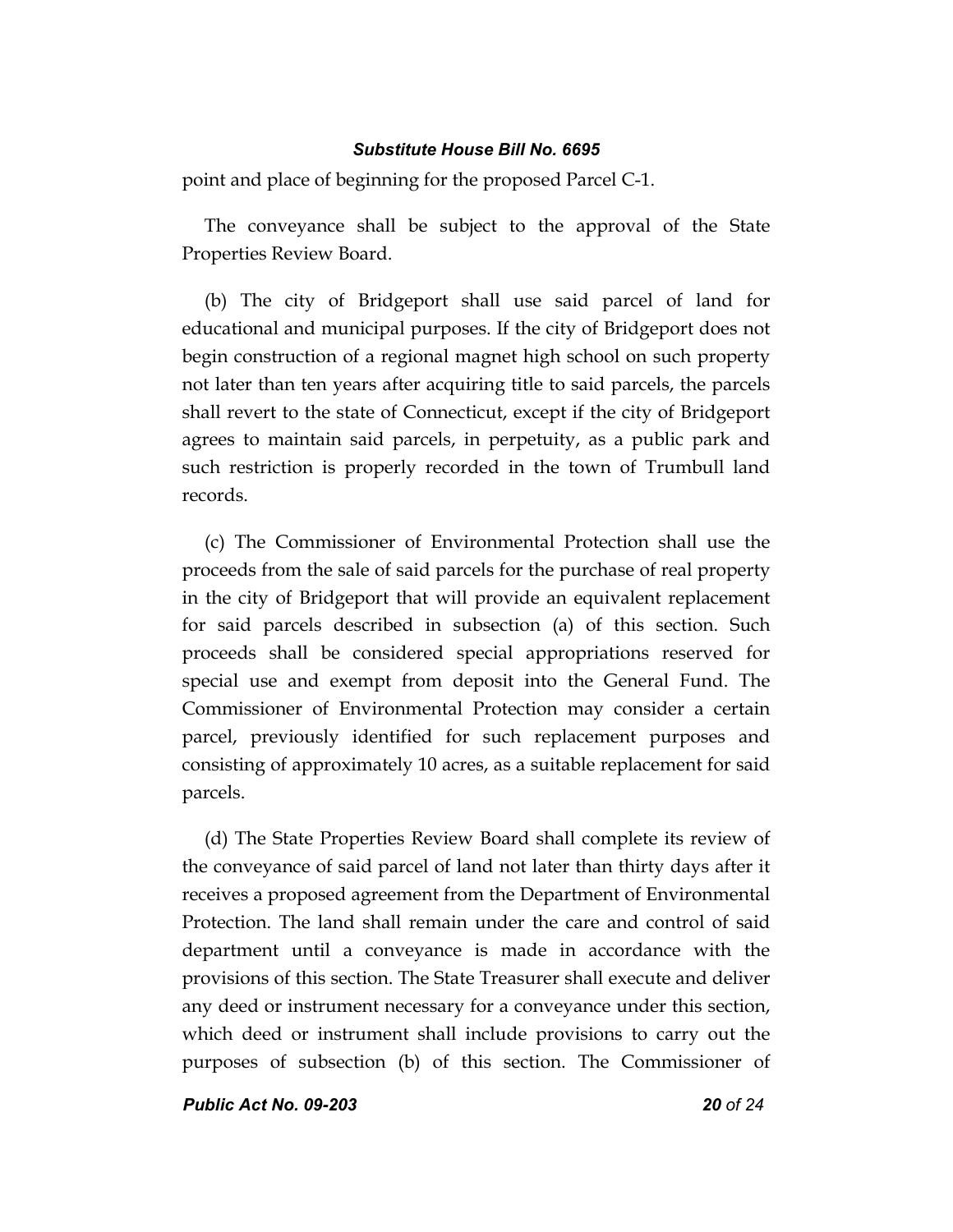point and place of beginning for the proposed Parcel C-1.

The conveyance shall be subject to the approval of the State Properties Review Board.

(b) The city of Bridgeport shall use said parcel of land for educational and municipal purposes. If the city of Bridgeport does not begin construction of a regional magnet high school on such property not later than ten years after acquiring title to said parcels, the parcels shall revert to the state of Connecticut, except if the city of Bridgeport agrees to maintain said parcels, in perpetuity, as a public park and such restriction is properly recorded in the town of Trumbull land records.

(c) The Commissioner of Environmental Protection shall use the proceeds from the sale of said parcels for the purchase of real property in the city of Bridgeport that will provide an equivalent replacement for said parcels described in subsection (a) of this section. Such proceeds shall be considered special appropriations reserved for special use and exempt from deposit into the General Fund. The Commissioner of Environmental Protection may consider a certain parcel, previously identified for such replacement purposes and consisting of approximately 10 acres, as a suitable replacement for said parcels.

(d) The State Properties Review Board shall complete its review of the conveyance of said parcel of land not later than thirty days after it receives a proposed agreement from the Department of Environmental Protection. The land shall remain under the care and control of said department until a conveyance is made in accordance with the provisions of this section. The State Treasurer shall execute and deliver any deed or instrument necessary for a conveyance under this section, which deed or instrument shall include provisions to carry out the purposes of subsection (b) of this section. The Commissioner of

*Public Act No. 09-203 20 of 24*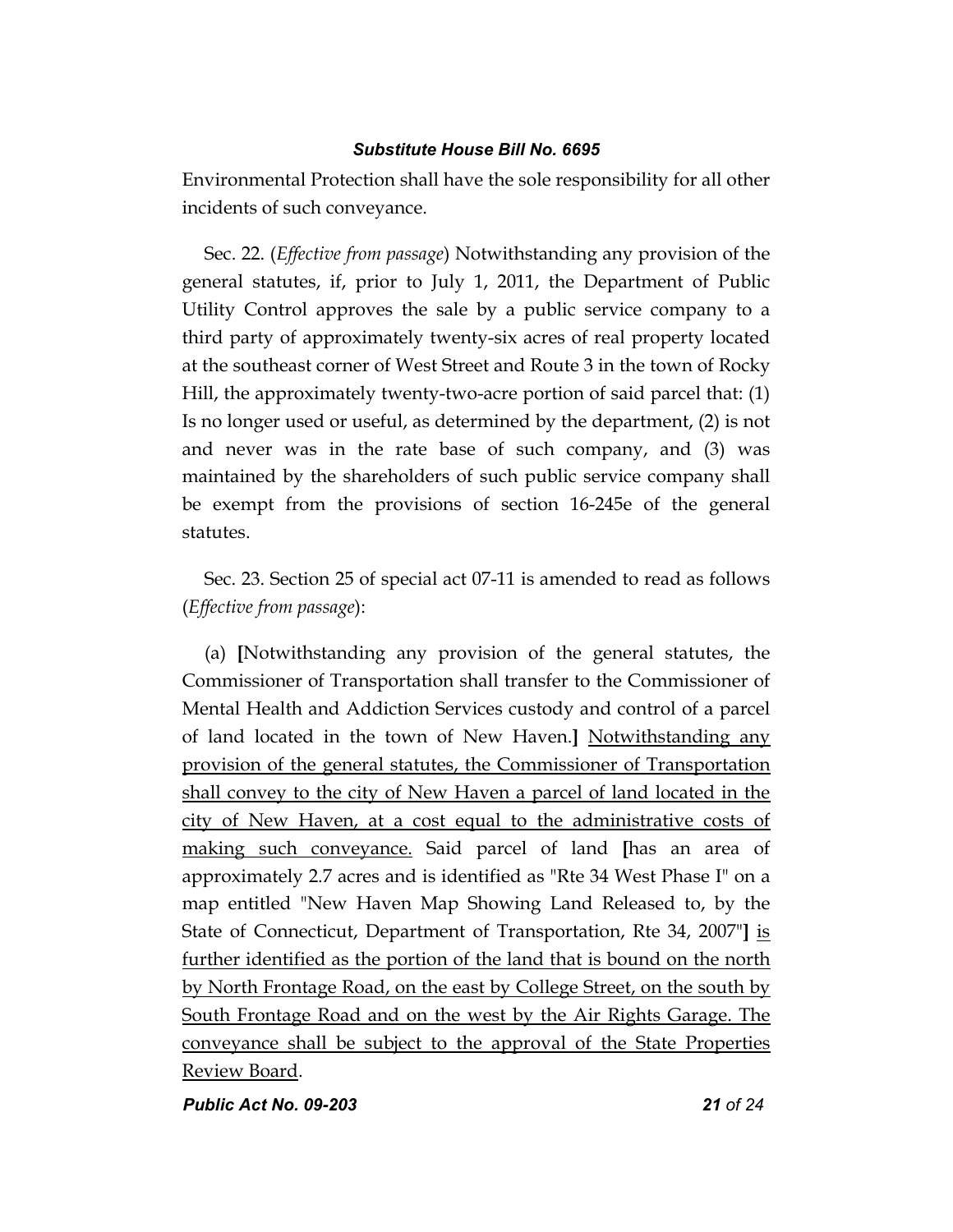Environmental Protection shall have the sole responsibility for all other incidents of such conveyance.

Sec. 22. (*Effective from passage*) Notwithstanding any provision of the general statutes, if, prior to July 1, 2011, the Department of Public Utility Control approves the sale by a public service company to a third party of approximately twenty-six acres of real property located at the southeast corner of West Street and Route 3 in the town of Rocky Hill, the approximately twenty-two-acre portion of said parcel that: (1) Is no longer used or useful, as determined by the department, (2) is not and never was in the rate base of such company, and (3) was maintained by the shareholders of such public service company shall be exempt from the provisions of section 16-245e of the general statutes.

Sec. 23. Section 25 of special act 07-11 is amended to read as follows (*Effective from passage*):

(a) **[**Notwithstanding any provision of the general statutes, the Commissioner of Transportation shall transfer to the Commissioner of Mental Health and Addiction Services custody and control of a parcel of land located in the town of New Haven.**]** Notwithstanding any provision of the general statutes, the Commissioner of Transportation shall convey to the city of New Haven a parcel of land located in the city of New Haven, at a cost equal to the administrative costs of making such conveyance. Said parcel of land **[**has an area of approximately 2.7 acres and is identified as "Rte 34 West Phase I" on a map entitled "New Haven Map Showing Land Released to, by the State of Connecticut, Department of Transportation, Rte 34, 2007"**]** is further identified as the portion of the land that is bound on the north by North Frontage Road, on the east by College Street, on the south by South Frontage Road and on the west by the Air Rights Garage. The conveyance shall be subject to the approval of the State Properties Review Board.

*Public Act No. 09-203 21 of 24*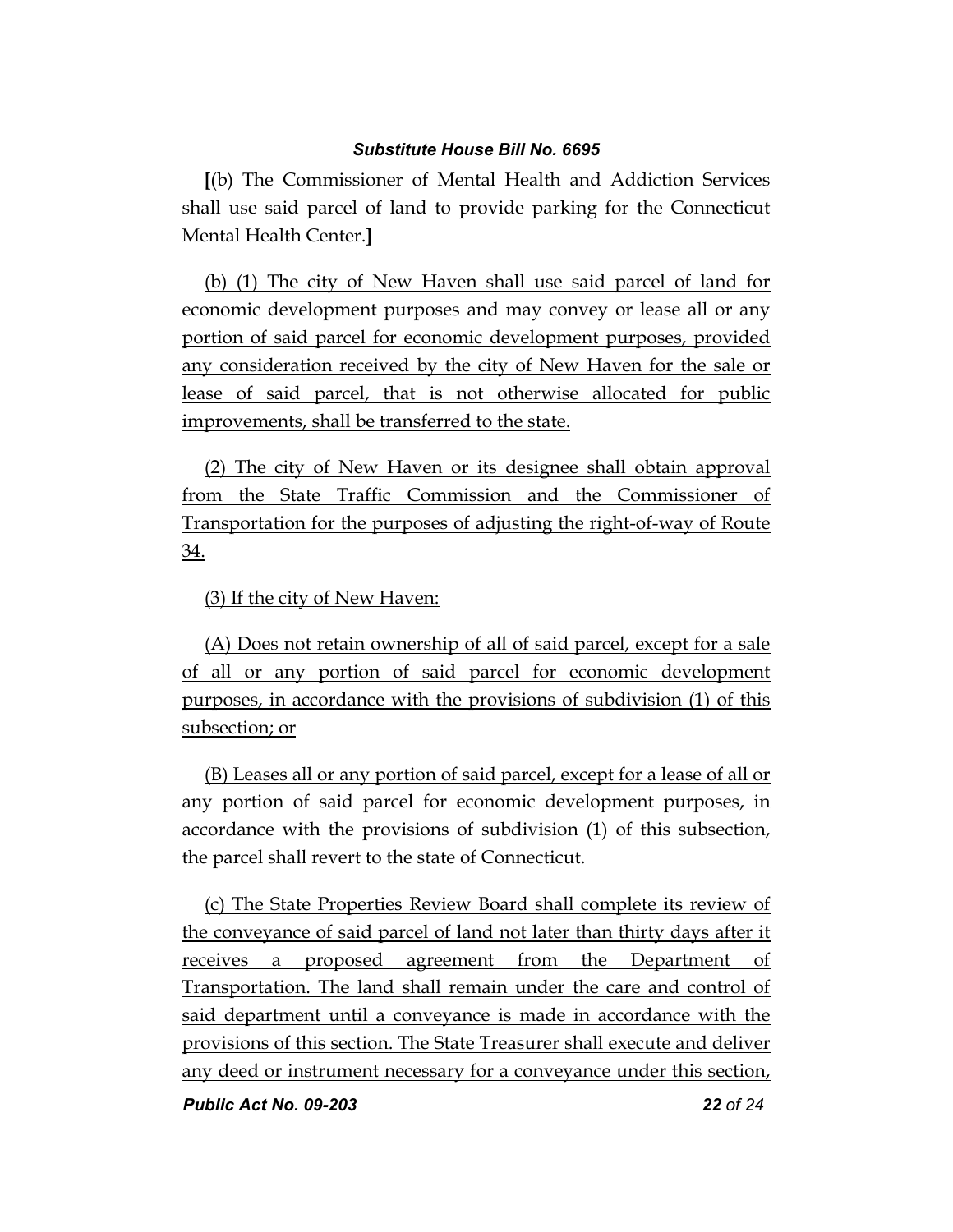**[**(b) The Commissioner of Mental Health and Addiction Services shall use said parcel of land to provide parking for the Connecticut Mental Health Center.**]**

(b) (1) The city of New Haven shall use said parcel of land for economic development purposes and may convey or lease all or any portion of said parcel for economic development purposes, provided any consideration received by the city of New Haven for the sale or lease of said parcel, that is not otherwise allocated for public improvements, shall be transferred to the state.

(2) The city of New Haven or its designee shall obtain approval from the State Traffic Commission and the Commissioner of Transportation for the purposes of adjusting the right-of-way of Route 34.

(3) If the city of New Haven:

(A) Does not retain ownership of all of said parcel, except for a sale of all or any portion of said parcel for economic development purposes, in accordance with the provisions of subdivision (1) of this subsection; or

(B) Leases all or any portion of said parcel, except for a lease of all or any portion of said parcel for economic development purposes, in accordance with the provisions of subdivision (1) of this subsection, the parcel shall revert to the state of Connecticut.

(c) The State Properties Review Board shall complete its review of the conveyance of said parcel of land not later than thirty days after it receives a proposed agreement from the Department of Transportation. The land shall remain under the care and control of said department until a conveyance is made in accordance with the provisions of this section. The State Treasurer shall execute and deliver any deed or instrument necessary for a conveyance under this section,

*Public Act No. 09-203 22 of 24*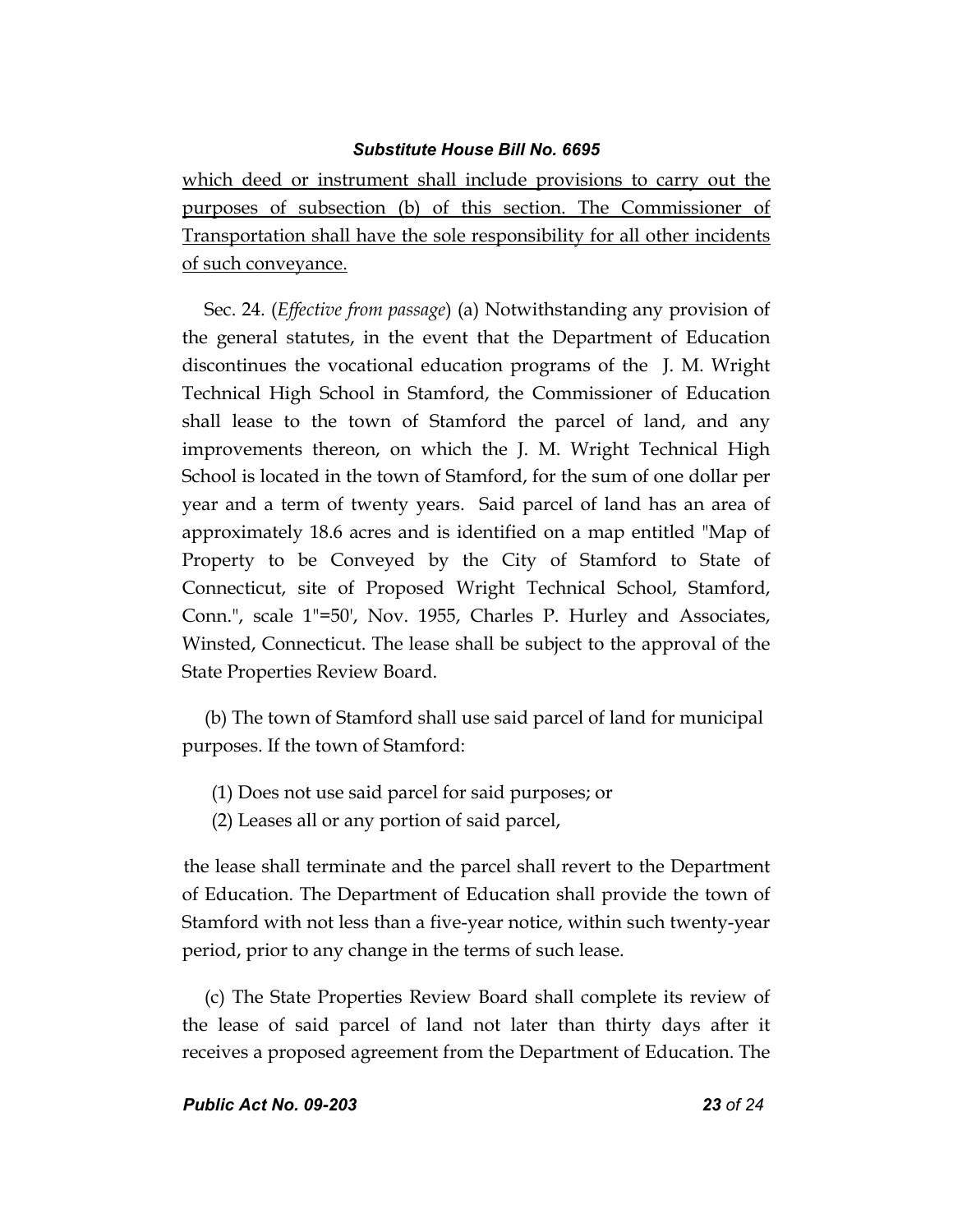which deed or instrument shall include provisions to carry out the purposes of subsection (b) of this section. The Commissioner of Transportation shall have the sole responsibility for all other incidents of such conveyance.

Sec. 24. (*Effective from passage*) (a) Notwithstanding any provision of the general statutes, in the event that the Department of Education discontinues the vocational education programs of the J. M. Wright Technical High School in Stamford, the Commissioner of Education shall lease to the town of Stamford the parcel of land, and any improvements thereon, on which the J. M. Wright Technical High School is located in the town of Stamford, for the sum of one dollar per year and a term of twenty years. Said parcel of land has an area of approximately 18.6 acres and is identified on a map entitled "Map of Property to be Conveyed by the City of Stamford to State of Connecticut, site of Proposed Wright Technical School, Stamford, Conn.", scale 1"=50', Nov. 1955, Charles P. Hurley and Associates, Winsted, Connecticut. The lease shall be subject to the approval of the State Properties Review Board.

(b) The town of Stamford shall use said parcel of land for municipal purposes. If the town of Stamford:

- (1) Does not use said parcel for said purposes; or
- (2) Leases all or any portion of said parcel,

the lease shall terminate and the parcel shall revert to the Department of Education. The Department of Education shall provide the town of Stamford with not less than a five-year notice, within such twenty-year period, prior to any change in the terms of such lease.

(c) The State Properties Review Board shall complete its review of the lease of said parcel of land not later than thirty days after it receives a proposed agreement from the Department of Education. The